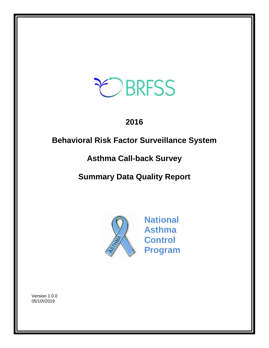

# **2016**

# **Behavioral Risk Factor Surveillance System**

# **Asthma Call-back Survey**

# **Summary Data Quality Report**



**National Asthma Control Program**

Version 1.0.0 05/10\/2019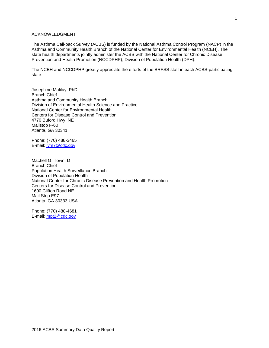## ACKNOWLEDGMENT

The Asthma Call-back Survey (ACBS) is funded by the National Asthma Control Program (NACP) in the Asthma and Community Health Branch of the National Center for Environmental Health (NCEH). The state health departments jointly administer the ACBS with the National Center for Chronic Disease Prevention and Health Promotion (NCCDPHP), Division of Population Health (DPH).

The NCEH and NCCDPHP greatly appreciate the efforts of the BRFSS staff in each ACBS-participating state.

Josephine Malilay, PhD Branch Chief Asthma and Community Health Branch Division of Environmental Health Science and Practice National Center for Environmental Health Centers for Disease Control and Prevention 4770 Buford Hwy, NE Mailstop F-60 Atlanta, GA 30341

Phone: (770) 488-3465 E-mail: [jym7@cdc.gov](mailto:jym7@cdc.gov)

Machell G. Town, D Branch Chief Population Health Surveillance Branch Division of Population Health National Center for Chronic Disease Prevention and Health Promotion Centers for Disease Control and Prevention 1600 Clifton Road NE Mail Stop E97 Atlanta, GA 30333 USA

Phone: (770) 488-4681 E-mail: [mpt2@cdc.gov](mailto:mpt2@cdc.gov)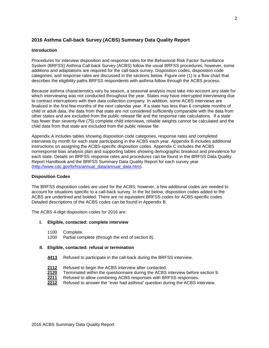# **2016 Asthma Call-back Survey (ACBS) Summary Data Quality Report**

### **Introduction**

Procedures for interview disposition and response rates for the Behavioral Risk Factor Surveillance System (BRFSS) Asthma Call-back Survey (ACBS) follow the usual BRFSS procedures; however, some additions and adaptations are required for the call-back survey. Disposition codes, disposition code categories, and response rates are discussed in the sections below. Figure one (1) is a flow chart that describes the eligibility paths BRFSS respondents with asthma follow through the ACBS process.

Because asthma characteristics vary by season, a seasonal analysis must take into account any state for which interviewing was not conducted throughout the year. States may have interrupted interviewing due to contract interruptions with their data collection company. In addition, some ACBS interviews are finalized in the first few months of the next calendar year. If a state has less than 6 complete months of child or adult data, the data from that state are not considered sufficiently comparable with the data from other states and are excluded from the public release file and the response rate calculations. If a state has fewer than seventy-five (75) complete child interviews, reliable weights cannot be calculated and the child data from that state are excluded from the public release file.

Appendix A includes tables showing disposition code categories, response rates and completed interviews by month for each state participating in the ACBS each year. Appendix B includes additional instructions on assigning the ACBS-specific disposition codes. Appendix C includes the ACBS nonresponse bias analysis plan and supporting tables showing demographic breakout and prevalence for each state. Details on BRFSS response rates and procedures can be found in the BRFSS Data Quality Report Handbook and the BRFSS Summary Data Quality Report for each survey year [\(http://www.cdc.gov/brfss/annual\\_data/annual\\_data.htm\)](http://www.cdc.gov/brfss/annual_data/annual_data.htm).

#### **Disposition Codes**

The BRFSS disposition codes are used for the ACBS; however, a few additional codes are needed to account for situations specific to a call-back survey. In the list below, disposition codes added to the ACBS are underlined and bolded. There are no equivalent BRFSS codes for ACBS-specific codes. Detailed descriptions of the ACBS codes can be found in Appendix B.

The ACBS 4-digit disposition codes for 2016 are:

#### **I. Eligible, contacted: complete interview**

- 1100 Complete.
- 1200 Partial complete (through the end of section 8).

#### **II. Eligible, contacted: refusal or termination**

- **4413** Refused to participate in the call-back during the BRFSS interview.
- 2112 Refused to begin the ACBS interview after contacted.<br>**2120** Terminated within the questionnaire during the ACBS
- 2120 Terminated within the questionnaire during the ACBS interview before section 9.<br>2211 Refused to allow combining ACBS responses with BRFSS responses.
- **2211** Refused to allow combining ACBS responses with BRFSS responses.
- **2212** Refused to answer the "ever had asthma" question during the ACBS interview.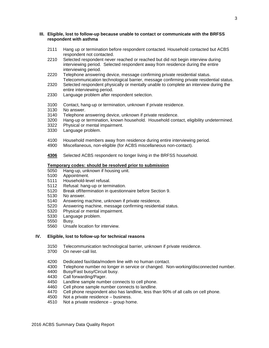## **III. Eligible, lost to follow-up because unable to contact or communicate with the BRFSS respondent with asthma**

- 2111 Hang up or termination before respondent contacted. Household contacted but ACBS respondent not contacted.
- 2210 Selected respondent never reached or reached but did not begin interview during interviewing period. Selected respondent away from residence during the entire interviewing period.
- 2220 Telephone answering device, message confirming private residential status. Telecommunication technological barrier, message confirming private residential status.
- 2320 Selected respondent physically or mentally unable to complete an interview during the entire interviewing period.
- 2330 Language problem after respondent selection.
- 3100 Contact, hang-up or termination, unknown if private residence.
- No answer.
- 3140 Telephone answering device, unknown if private residence.
- Hang-up or termination, known household. Household contact, eligibility undetermined.
- 3322 Physical or mental impairment.
- 3330 Language problem.
- 4100 Household members away from residence during entire interviewing period.
- 4900 Miscellaneous, non-eligible (for ACBS miscellaneous non-contact).
- **4306** Selected ACBS respondent no longer living in the BRFSS household.

# **Temporary codes: should be resolved prior to submission**

- Hang-up, unknown if housing unit.
- 5100 Appointment.
- 5111 Household-level refusal.<br>5112 Refusal: hang-up or term
- 5112 Refusal: hang-up or termination.<br>5120 Break off/termination in question
- Break off/termination in questionnaire before Section 9.
- 5130 No answer.<br>5140 Answering r
- Answering machine, unknown if private residence.
- 5220 Answering machine, message confirming residential status.
- 5320 Physical or mental impairment.
- 5330 Language problem.
- 5550 Busy.
- 5560 Unsafe location for interview.

## **IV. Eligible, lost to follow-up for technical reasons**

- 3150 Telecommunication technological barrier, unknown if private residence.
- 3700 On never-call list.
- 4200 Dedicated fax/data/modem line with no human contact.
- 4300 Telephone number no longer in service or changed. Non-working/disconnected number.<br>4400 Busy/Fast busy/Circuit busy.
- 4400 Busy/Fast busy/Circuit busy.<br>4430 Call forwarding/Pager.
- Call forwarding/Pager.
- 4450 Landline sample number connects to cell phone.
- 4460 Cell phone sample number connects to landline.
- 4470 Cell phone respondent also has landline, less than 90% of all calls on cell phone.
- 4500 Not a private residence business.<br>4510 Not a private residence group hon
- Not a private residence  $-$  group home.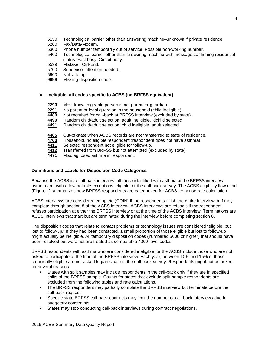- 5150 Technological barrier other than answering machine–unknown if private residence.<br>5200 Fax/Data/Modem.
- 5200 Fax/Data/Modem.<br>5300 Phone number ten
- Phone number temporarily out of service. Possible non-working number.
- 5400 Technological barrier other than answering machine with message confirming residential status. Fast busy. Circuit busy.
- 5599 Mistaken Ctrl-End.
- 5700 Supervisor attention needed.<br>5900 Null attempt.
- 5900 Null attempt.<br>9999 Missing dispo
- **Missing disposition code.**

# **V. Ineligible: all codes specific to ACBS (no BRFSS equivalent)**

- **2290** Most-knowledgeable person is not parent or guardian.
- **2291** No parent or legal guardian in the household (child ineligible).
- 4480 Not recruited for call-back at BRFSS interview (excluded by state).<br>4490 Random child/adult selection: adult ineligible, dchild selected.
- **4490** Random child/adult selection: adult ineligible, dchild selected.
- **4491** Random child/adult selection: child ineligible, adult selected.
- 4405 Out-of-state when ACBS records are not transferred to state of residence.<br>4700 Household, no eligible respondent (respondent does not have asthma).
- 4700 Household, no eligible respondent (respondent does not have asthma).<br>4411 Selected respondent not eligible for follow-up.
- **4411** Selected respondent not eligible for follow-up.<br>4412 Transferred from BRFSS but not attempted (e.
- **4412** Transferred from BRFSS but not attempted (excluded by state).
- **4471** Misdiagnosed asthma in respondent.

# **Definitions and Labels for Disposition Code Categories**

Because the ACBS is a call-back interview, all those identified with asthma at the BRFSS interview asthma are, with a few notable exceptions, eligible for the call-back survey. The ACBS eligibility flow chart (Figure 1) summarizes how BRFSS respondents are categorized for ACBS response rate calculation.

ACBS interviews are considered complete (COIN) if the respondents finish the entire interview or if they complete through section 8 of the ACBS interview. ACBS interviews are refusals if the respondent refuses participation at either the BRFSS interview or at the time of the ACBS interview. Terminations are ACBS interviews that start but are terminated during the interview before completing section 8.

The disposition codes that relate to contact problems or technology issues are considered "eligible, but lost to follow-up." If they had been contacted, a small proportion of those eligible but lost to follow-up might actually be ineligible. All temporary disposition codes (numbered 5000 or higher) that should have been resolved but were not are treated as comparable 4000-level codes.

BRFSS respondents with asthma who are considered ineligible for the ACBS include those who are not asked to participate at the time of the BRFSS interview. Each year, between 10% and 15% of those technically eligible are not asked to participate in the call-back survey. Respondents might not be asked for several reasons:

- States with split samples may include respondents in the call-back only if they are in specified splits of the BRFSS sample. Counts for states that exclude split-sample respondents are excluded from the following tables and rate calculations.
- The BRFSS respondent may partially complete the BRFSS interview but terminate before the call-back request.
- Specific state BRFSS call-back contracts may limit the number of call-back interviews due to budgetary constraints.
- States may stop conducting call-back interviews during contract negotiations.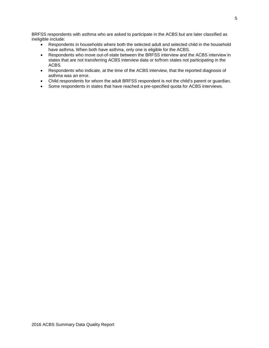BRFSS respondents with asthma who are asked to participate in the ACBS but are later classified as ineligible include:

- Respondents in households where both the selected adult and selected child in the household have asthma. When both have asthma, only one is eligible for the ACBS.
- Respondents who move out-of-state between the BRFSS interview and the ACBS interview in states that are not transferring ACBS interview data or to/from states not participating in the ACBS.
- Respondents who indicate, at the time of the ACBS interview, that the reported diagnosis of asthma was an error.
- Child respondents for whom the adult BRFSS respondent is not the child's parent or guardian.
- Some respondents in states that have reached a pre-specified quota for ACBS interviews.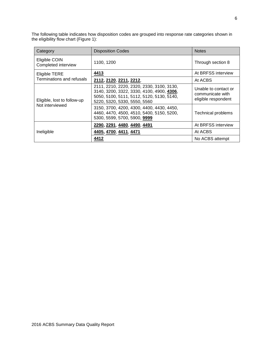The following table indicates how disposition codes are grouped into response rate categories shown in the eligibility flow chart (Figure 1):

| Category                             | <b>Disposition Codes</b>                                                                                                                                            | <b>Notes</b>                                                    |
|--------------------------------------|---------------------------------------------------------------------------------------------------------------------------------------------------------------------|-----------------------------------------------------------------|
| Eligible COIN<br>Completed interview | 1100, 1200                                                                                                                                                          | Through section 8                                               |
| <b>Eligible TERE</b>                 | 4413                                                                                                                                                                | At BRFSS interview                                              |
| Terminations and refusals            | 2112, 2120, 2211, 2212,                                                                                                                                             | At ACBS                                                         |
| Eligible, lost to follow-up          | 2111, 2210, 2220, 2320, 2330, 3100, 3130,<br>3140, 3200, 3322, 3330, 4100, 4900, 4306,<br>5050, 5100, 5111, 5112, 5120, 5130, 5140,<br>5220, 5320, 5330, 5550, 5560 | Unable to contact or<br>communicate with<br>eligible respondent |
| Not interviewed                      | 3150, 3700, 4200, 4300, 4400, 4430, 4450,<br>4460, 4470, 4500, 4510, 5400, 5150, 5200,<br>5300, 5599, 5700, 5900, 9999                                              | <b>Technical problems</b>                                       |
| Ineligible                           | 2290, 2291, 4480, 4490, 4491                                                                                                                                        | At BRFSS interview                                              |
|                                      | 4405, 4700, 4411, 4471                                                                                                                                              | At ACBS                                                         |
|                                      | 4412                                                                                                                                                                | No ACBS attempt                                                 |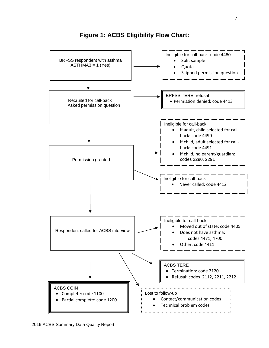

**Figure 1: ACBS Eligibility Flow Chart:**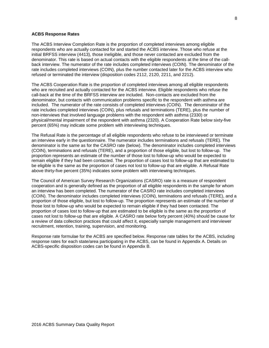#### **ACBS Response Rates**

The ACBS Interview Completion Rate is the proportion of completed interviews among eligible respondents who are actually contacted for and started the ACBS interview. Those who refuse at the initial BRFSS interview (4413), those ineligible, and those never contacted are excluded from the denominator. This rate is based on actual contacts with the eligible respondents at the time of the callback interview. The numerator of the rate includes completed interviews (COIN). The denominator of the rate includes completed interviews (COIN), plus the number contacted later for the ACBS interview who refused or terminated the interview (disposition codes 2112, 2120, 2211, and 2212).

The ACBS Cooperation Rate is the proportion of completed interviews among all eligible respondents who are recruited and actually contacted for the ACBS interview. Eligible respondents who refuse the call-back at the time of the BRFSS interview are included. Non-contacts are excluded from the denominator, but contacts with communication problems specific to the respondent with asthma are included. The numerator of the rate consists of completed interviews (COIN). The denominator of the rate includes completed interviews (COIN), plus refusals and terminations (TERE), plus the number of non-interviews that involved language problems with the respondent with asthma (2330) or physical/mental impairment of the respondent with asthma (2320). A Cooperation Rate below sixty-five percent (65%) may indicate some problem with interviewing techniques.

The Refusal Rate is the percentage of all eligible respondents who refuse to be interviewed or terminate an interview early in the questionnaire. The numerator includes terminations and refusals (TERE). The denominator is the same as for the CASRO rate (below). The denominator includes completed interviews (COIN), terminations and refusals (TERE), and a proportion of those eligible, but lost to follow-up. The proportion represents an estimate of the number of those lost to follow-up who would be expected to remain eligible if they had been contacted. The proportion of cases lost to follow-up that are estimated to be eligible is the same as the proportion of cases not lost to follow-up that are eligible. A Refusal Rate above thirty-five percent (35%) indicates some problem with interviewing techniques.

The Council of American Survey Research Organizations (CASRO) rate is a measure of respondent cooperation and is generally defined as the proportion of all eligible respondents in the sample for whom an interview has been completed. The numerator of the CASRO rate includes completed interviews (COIN). The denominator includes completed interviews (COIN), terminations and refusals (TERE), and a proportion of those eligible, but lost to follow-up. The proportion represents an estimate of the number of those lost to follow-up who would be expected to remain eligible if they had been contacted. The proportion of cases lost to follow-up that are estimated to be eligible is the same as the proportion of cases not lost to follow-up that are eligible. A CASRO rate below forty percent (40%) should be cause for a review of data collection practices that could affect it, especially sample management and interviewer recruitment, retention, training, supervision, and monitoring.

Response rate formulae for the ACBS are specified below. Response rate tables for the ACBS, including response rates for each state/area participating in the ACBS, can be found in Appendix A. Details on ACBS-specific disposition codes can be found in Appendix B.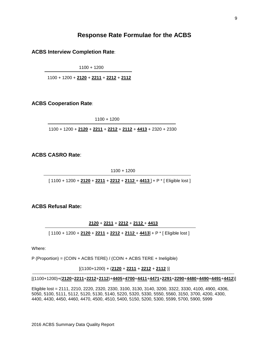# **Response Rate Formulae for the ACBS**

**ACBS Interview Completion Rate**:

1100 + 1200

1100 + 1200 + **2120** + **2211** + **2212** + **2112**

# **ACBS Cooperation Rate**:

1100 + 1200

1100 + 1200 + **2120** + **2211** + **2212** + **2112** + **4413** + 2320 + 2330

**ACBS CASRO Rate**:

1100 + 1200

[ 1100 + 1200 + **2120** + **2211** + **2212** + **2112** + **4413** ] + P \* [ Eligible lost ]

# **ACBS Refusal Rate:**

**2120** + **2211** + **2212** + **2112** + **4413**

[ 1100 + 1200 + **2120** + **2211** + **2212** + **2112** + **4413**] + P \* [ Eligible lost ]

Where:

j

P (Proportion) = (COIN + ACBS TERE) / (COIN + ACBS TERE + Ineligible)

[(1100+1200) + (**2120** + **2211** + **2212** + **2112** )]

# [(1100+1200)+(**2120**+**2211**+**2212**+**2112**)+**4405**+**4700**+**4411**+**4471**+**2291**+**2290**+**4480**+**4490**+**4491**+**4412**)]

Eligible lost = 2111, 2210, 2220, 2320, 2330, 3100, 3130, 3140, 3200, 3322, 3330, 4100, 4900, 4306, 5050, 5100, 5111, 5112, 5120, 5130, 5140, 5220, 5320, 5330, 5550, 5560, 3150, 3700, 4200, 4300, 4400, 4430, 4450, 4460, 4470, 4500, 4510, 5400, 5150, 5200, 5300, 5599, 5700, 5900, 5999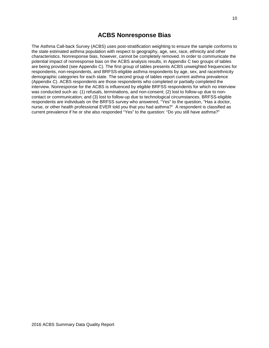# **ACBS Nonresponse Bias**

The Asthma Call-back Survey (ACBS) uses post-stratification weighting to ensure the sample conforms to the state estimated asthma population with respect to geography, age, sex, race, ethnicity and other characteristics. Nonresponse bias, however, cannot be completely removed. In order to communicate the potential impact of nonresponse bias on the ACBS analysis results, in Appendix C two groups of tables are being provided (see Appendix C). The first group of tables presents ACBS unweighted frequencies for respondents, non-respondents, and BRFSS-eligible asthma respondents by age, sex, and race/ethnicity demographic categories for each state. The second group of tables report current asthma prevalence (Appendix C). ACBS respondents are those respondents who completed or partially completed the interview. Nonresponse for the ACBS is influenced by eligible BRFSS respondents for which no interview was conducted such as: (1) refusals, terminations, and non-consent; (2) lost to follow-up due to noncontact or communication; and (3) lost to follow-up due to technological circumstances. BRFSS-eligible respondents are individuals on the BRFSS survey who answered, "Yes" to the question, "Has a doctor, nurse, or other health professional EVER told you that you had asthma?" A respondent is classified as current prevalence if he or she also responded "Yes" to the question: "Do you still have asthma?"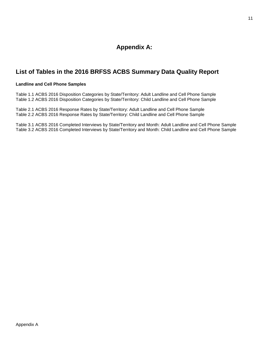# **Appendix A:**

# **List of Tables in the 2016 BRFSS ACBS Summary Data Quality Report**

# **Landline and Cell Phone Samples**

Table 1.1 ACBS 2016 Disposition Categories by State/Territory: Adult Landline and Cell Phone Sample Table 1.2 ACBS 2016 Disposition Categories by State/Territory: Child Landline and Cell Phone Sample

Table 2.1 ACBS 2016 Response Rates by State/Territory: Adult Landline and Cell Phone Sample Table 2.2 ACBS 2016 Response Rates by State/Territory: Child Landline and Cell Phone Sample

Table 3.1 ACBS 2016 Completed Interviews by State/Territory and Month: Adult Landline and Cell Phone Sample Table 3.2 ACBS 2016 Completed Interviews by State/Territory and Month: Child Landline and Cell Phone Sample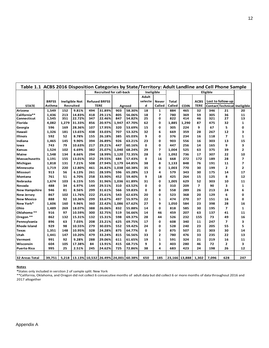|                      | Table 1.1 ACBS 2016 Disposition Categories by State/Territory: Adult Landline and Cell Phone Sample<br><b>Recruited for call-back</b><br>Ineligible<br>Eligible |       |                       |     |                             |       |        |         |                          |              |               |                          |       |                   |                              |
|----------------------|-----------------------------------------------------------------------------------------------------------------------------------------------------------------|-------|-----------------------|-----|-----------------------------|-------|--------|---------|--------------------------|--------------|---------------|--------------------------|-------|-------------------|------------------------------|
|                      |                                                                                                                                                                 |       |                       |     |                             |       |        |         |                          |              |               |                          |       |                   |                              |
|                      |                                                                                                                                                                 |       |                       |     |                             |       |        | Adult   |                          |              |               |                          |       |                   |                              |
|                      | <b>BRFSS</b>                                                                                                                                                    |       | <b>Ineligible Not</b> |     | <b>Refused BRFSS</b>        |       |        | selecte | <b>Never</b>             | <b>Total</b> |               | <b>ACBS</b>              |       | Lost to follow-up |                              |
| <b>STATE</b>         | Asthma                                                                                                                                                          |       | Recruited             |     | <b>TERE</b>                 |       | Agreed | d       | Called                   | Called       | <b>COIN</b>   | <b>TERE</b>              |       |                   | Contact Technical Ineligible |
| Arizona              | 1,549                                                                                                                                                           | 152   | 9.81%                 | 494 | 31.89%                      | 903   | 58.30% | 18      | 1                        | 884          | 465           | 32                       | 346   | 21                | 20                           |
| California**         | 1,436                                                                                                                                                           | 213   | 14.83%                | 418 | 29.11%                      | 805   | 56.06% | 18      | $\overline{ }$           | 780          | 369           | 59                       | 305   | 36                | 11                           |
| Connecticut          | 1,545                                                                                                                                                           | 351   | 22.72%                | 347 | 22.46%                      | 847   | 54.82% | 25      | 0                        | 822          | 414           | 46                       | 321   | 27                | 13                           |
| <b>Florida</b>       | 4,082                                                                                                                                                           | 1,279 | 31.33%                | 856 | 20.97%                      | 1,947 | 47.70% | 62      | 0                        | 1,885        | 1,290         | 87                       | 475   | 32                | $\mathbf{1}$                 |
| Georgia              | 596                                                                                                                                                             | 169   | 28.36%                | 107 | 17.95%                      | 320   | 53.69% | 15      | 0                        | 305          | 224           | 9                        | 67    | 5                 | 0                            |
| Hawaii               | 1,326                                                                                                                                                           | 181   | 13.65%                | 438 | 33.03%                      | 707   | 53.32% | 32      | 6                        | 669          | 359           | 28                       | 267   | 12                | 3                            |
| <b>Illinois</b>      | 592                                                                                                                                                             | 52    | 8.78%                 | 155 | 26.18%                      | 385   | 65.03% | 9       | 0                        | 376          | 234           | 16                       | 118   | $\overline{ }$    | $\mathbf{1}$                 |
| Indiana              | 1,465                                                                                                                                                           | 145   | 9.90%                 | 394 | 26.89%                      | 926   | 63.21% | 23      | 0                        | 903          | 556           | 16                       | 303   | 13                | 15                           |
| lowa                 | 743                                                                                                                                                             | 79    | 10.63%                | 217 | 29.21%                      | 447   | 60.16% | 0       | 0                        | 447          | 256           | 14                       | 165   | 9                 | 3                            |
| Kansas               | 1,524                                                                                                                                                           | 102   | 6.69%                 | 382 | 25.07%                      | 1,040 | 68.24% | 29      | $\overline{\phantom{a}}$ | 1,004        | 525           | 63                       | 375   | 39                | $\overline{2}$               |
| <b>Maine</b>         | 1,548                                                                                                                                                           | 134   | 8.66%                 | 294 | 18.99%                      | 1,120 | 72.35% | 28      | 0                        | 1,092        | 736           | 17                       | 307   | 22                | 10                           |
| <b>Massachusetts</b> | 1,191                                                                                                                                                           | 155   | 13.01%                | 352 | 29.55%                      | 684   | 57.43% | 0       | 16                       | 668          | 272           | 172                      | 189   | 28                | 7                            |
| Michigan             | 1,818                                                                                                                                                           | 131   | 7.21%                 | 508 | 27.94%                      | 1,179 | 64.85% | 38      | 8                        | 1,133        | 848           | 76                       | 191   | 11                | $\overline{ }$               |
| Minnesota            | 1,719                                                                                                                                                           | 220   | 12.80%                | 461 | 26.82%                      | 1,038 | 60.38% | 35      | 0                        | 1,003        | 770           | 30                       | 199   | $\mathbf{2}$      | $\mathbf{2}$                 |
| Missouri             | 913                                                                                                                                                             | 56    | 6.13%                 | 261 | 28.59%                      | 596   | 65.28% | 13      | 4                        | 579          | 343           | 30                       | 175   | 14                | 17                           |
| Montana              | 761                                                                                                                                                             | 51    | 6.70%                 | 258 | 33.90%                      | 452   | 59.40% | 9       | 18                       | 425          | 264           | 15                       | 125   | 8                 | 12                           |
| Nebraska             | 1,674                                                                                                                                                           | 103   | 6.15%                 | 535 | 31.96%                      | 1,036 | 61.89% | 31      | 0                        | 1,005        | 629           | 52                       | 303   | 10                | 11                           |
| Nevada               | 488                                                                                                                                                             | 34    | 6.97%                 | 144 | 29.51%                      | 310   | 63.52% | 0       | 0                        | 310          | 209           | $\overline{\phantom{a}}$ | 90    | 3                 | $\mathbf{1}$                 |
| <b>New Hampshire</b> | 946                                                                                                                                                             | 81    | 8.56%                 | 299 | 31.61%                      | 566   | 59.83% | 0       | 8                        | 558          | 289           | 26                       | 213   | 24                | 6                            |
| <b>New Jersey</b>    | 867                                                                                                                                                             | 102   | 11.76%                | 222 | 25.61%                      | 543   | 62.63% | 20      | 0                        | 523          | 368           | 20                       | 129   | 6                 | 0                            |
| <b>New Mexico</b>    | 888                                                                                                                                                             | 92    | 10.36%                | 299 | 33.67%                      | 497   | 55.97% | 22      | $\mathbf{1}$             | 474          | 270           | 37                       | 151   | 16                | 0                            |
| New York*            | 1,606                                                                                                                                                           | 160   | 9.96%                 | 360 | 22.42%                      | 1,086 | 67.62% | 27      | 9                        | 1,050        | 584           | 23                       | 398   | 28                | 16                           |
| Ohio                 | 1,489                                                                                                                                                           | 269   | 18.07%                | 388 | 26.06%                      | 832   | 55.88% | 14      | 0                        | 818          | 585           | 30                       | 195   | $\overline{ }$    | $\mathbf{1}$                 |
| Oklahoma **          | 916                                                                                                                                                             | 97    | 10.59%                | 300 | 32.75%                      | 519   | 56.66% | 14      | 46                       | 459          | 207           | 63                       | 137   | 41                | 11                           |
| Oregon **            | 862                                                                                                                                                             | 132   | 15.31%                | 132 | 15.31%                      | 598   | 69.37% | 28      | 44                       | 526          | 232           | 155                      | 73    | 49                | 16                           |
| Pennsylvania         | 896                                                                                                                                                             | 63    | 7.03%                 | 208 | 23.21%                      | 625   | 69.75% | 17      | 0                        | 608          | 340           | 11                       | 247   | $\overline{ }$    | 3                            |
| <b>Rhode Island</b>  | 929                                                                                                                                                             | 98    | 10.55%                | 279 | 30.03%                      | 552   | 59.42% | 24      | 0                        | 528          | 240           | 23                       | 205   | 55                | 5                            |
| Texas                | 1,351                                                                                                                                                           | 148   | 10.95%                | 328 | 24.28%                      | 875   | 64.77% | 0       | 0                        | 875          | 507           | 21                       | 303   | 30                | 14                           |
| Utah                 | 1,441                                                                                                                                                           | 147   | 10.20%                | 479 | 33.24%                      | 815   | 56.56% | 33      | $\overline{2}$           | 780          | 476           | 33                       | 235   | 22                | 13                           |
| Vermont              | 991                                                                                                                                                             | 92    | 9.28%                 | 288 | 29.06%                      | 611   | 61.65% | 19      | 1                        | 591          | 324           | 21                       | 219   | 16                | 11                           |
| Wisconsin            | 604                                                                                                                                                             | 105   | 17.38%                | 84  | 13.91%                      | 415   | 68.71% | 9       | 3                        | 403          | 280           | 46                       | 72    | $\mathbf{2}$      | 3                            |
| <b>Puerto Rico</b>   | 995                                                                                                                                                             | 25    | 2.51%                 | 245 | 24.62%                      | 725   | 72.86% | 38      | 4                        | 683          | 423           | 24                       | 198   | 26                | 12                           |
|                      |                                                                                                                                                                 |       |                       |     |                             |       |        |         |                          |              |               |                          |       |                   |                              |
| 32 Areas Total       | 39,751                                                                                                                                                          | 5,218 |                       |     | 13.13% 10,532 26.49% 24,001 |       | 60.38% | 650     | 185                      |              | 23,166 13,888 | 1,302                    | 7,096 | 628               | 247                          |

**\***States only included in verstion 2 of sample split: New York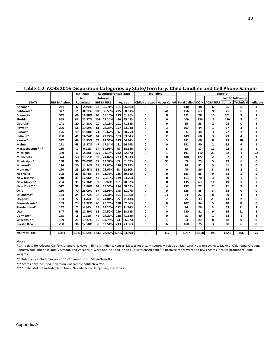|                       |                     |                          | Ineligible                             |     | <b>Recruited for call-back</b> |     |        | Ineligible                               |                          |       |             |                  | Eligible |                          |            |
|-----------------------|---------------------|--------------------------|----------------------------------------|-----|--------------------------------|-----|--------|------------------------------------------|--------------------------|-------|-------------|------------------|----------|--------------------------|------------|
|                       |                     |                          | <b>Not</b>                             |     | Refused                        |     |        |                                          |                          |       |             |                  |          | Lost to follow-up        |            |
| <b>STATE</b>          | <b>BRFSS Asthma</b> |                          | <b>Recruited</b>                       |     | <b>BRFSS TERE</b>              |     | Agreed | Child selected Never Called Total Called |                          |       | <b>COIN</b> | <b>ACBS TERE</b> |          | <b>Contact Technical</b> | Ineligible |
| Arizona*              | 241                 | 6                        | 2.49%                                  | 74  | 30.71%                         | 161 | 66.80% | 0                                        | 1                        | 130   | 48          | 6                | 66       | 6                        | 4          |
| California*           | 327                 | $\mathbf{2}$             | 0.61%                                  | 100 | 30.58%                         | 225 | 68.81% | 0                                        | 41                       | 156   | 63          | 9                | 75       | 6                        | 3          |
| <b>Connecticut</b>    | 347                 | 69                       | 19.88%                                 | 63  | 18.16%                         | 215 | 61.96% | O                                        | 0                        | 191   | 76          | 10               | 101      | 3                        | 1          |
| Florida               | 865                 | 184                      | 21.27%                                 | 201 | 23.24%                         | 480 | 55.49% | O                                        | 0                        | 409   | 236         | 16               | 150      | 7                        | Ω          |
| Georgia*              | 141                 | 20                       | 14.18%                                 | 20  | 14.18%                         | 101 | 71.63% | Ω                                        | 0                        | 85    | 58          | $\overline{2}$   | 24       | 0                        | 1          |
| Hawaii*               | 296                 | 58                       | 19.59%                                 | 81  | 27.36%                         | 157 | 53.04% | 0                                        | 3                        | 107   | 44          | 1                | 57       | 3                        | 2          |
| Illinois*             | 126                 | 19                       | 15.08%                                 | 21  | 16.67%                         | 86  | 68.25% | 0                                        | 0                        | 66    | 34          | 3                | 27       | 1                        | 1          |
| Indiana*              | 288                 | 41                       | 14.24%                                 | 64  | 22.22%                         | 183 | 63.54% | 0                                        | $\mathbf{2}$             | 149   | 68          | 3                | 73       | 4                        | 1          |
| Kansas*               | 347                 | 48                       | 13.83%                                 | 74  | 21.33%                         | 225 | 64.84% | 0                                        | 3                        | 181   | 66          | 8                | 93       | 10                       | 4          |
| Maine                 | 271                 | 43                       | 15.87%                                 | 47  | 17.34%                         | 181 | 66.79% | 0                                        | 0                        | 151   | 90          | $\mathbf{2}$     | 52       | 6                        | 1          |
| Massachusetts***      | 110                 | 1                        | 0.91%                                  | 34  | 30.91%                         | 75  | 68.18% | 0                                        | 5                        | 53    | 17          | 12               | 22       | 1                        | 1          |
| Michigan              | 369                 | 11                       | 2.98%                                  | 126 | 34.15%                         | 232 | 62.87% | 0                                        | 1                        | 191   | 110         | 20               | 38       | $\mathbf{1}$             | 22         |
| Minnesota             | 374                 | 58                       | 15.51%                                 | 93  | 24.87%                         | 223 | 59.63% | 0                                        | 0                        | 188   | 127         | $\overline{2}$   | 57       | 1                        | 1          |
| Mississippi*          | 138                 | 36                       | 26.09%                                 | 17  | 12.32%                         | 85  | 61.59% | 0                                        | 30                       | 55    | 25          | 5                | 19       | 6                        | 0          |
| Missouri*             | 174                 | 26                       | 14.94%                                 | 38  | 21.84%                         | 110 | 63.22% | 0                                        | 1                        | 78    | 32          | 3                | 41       | 2                        | O          |
| Montana*              | 120                 | 25                       | 20.83%                                 | 32  | 26.67%                         | 63  | 52.50% | 0                                        | 0                        | 45    | 26          | 3                | 14       | $\overline{2}$           | 0          |
| Nebraska              | 308                 | 26                       | 8.44%                                  | 67  | 21.75%                         | 215 | 69.81% | O                                        | 0                        | 183   | 85          | 9                | 83       | 1                        | 5          |
| New Jersey*           | 218                 | 35                       | 16.06%                                 | 44  | 20.18%                         | 139 | 63.76% | Ω                                        | O                        | 113   | 70          | 3                | 39       | 1                        | ŋ          |
| New Mexico*           | 204                 | 35                       | 17.16%                                 | 8   | 3.92%                          | 161 | 78.92% | n                                        | O                        | 135   | 63          | 11               | 49       | 5                        | 7          |
| New York***           | 312                 | 37                       | 11.86%                                 | 61  | 19.55%                         | 214 | 68.59% | Ω                                        | Δ                        | 157   | 77          | $\overline{2}$   | 71       | 5                        | 2          |
| Ohio                  | 280                 | 70                       | 25.00%                                 | 67  | 23.93%                         | 143 | 51.07% | O                                        | 0                        | 126   | 85          | 3                | 38       | 0                        | o          |
| Oklahoma*             | 163                 | 24                       | 14.72%                                 | 38  | 23.31%                         | 101 | 61.96% | Ω                                        | 11                       | 74    | 22          | 8                | 39       | 4                        | 1          |
| Oregon*               | 133                 | 5                        | 3.76%                                  | 33  | 24.81%                         | 95  | 71.43% | 0                                        | $\overline{\phantom{a}}$ | 75    | 33          | 20               | 13       | $\mathbf{z}$             | 6          |
| Pennsylvania*         | 193                 | 23                       | 11.92%                                 | 40  | 20.73%                         | 130 | 67.36% | o                                        | 0                        | 107   | 54          | 5                | 48       | 0                        | o          |
| <b>Rhode Island*</b>  | 157                 | $\overline{\phantom{a}}$ | 4.46%                                  | 38  | 24.20%                         | 112 | 71.34% | o                                        | 1                        | 94    | 26          | 3                | 53       | 11                       | 1          |
| Utah                  | 347                 | 43                       | 12.39%                                 | 85  | 24.50%                         | 219 | 63.11% | Ω                                        | 0                        | 180   | 91          | 9                | 66       | 11                       | 2          |
| Vermont*              | 165                 | $\overline{2}$           | 1.21%                                  | 45  | 27.27%                         | 118 | 71.52% | Ω                                        | 0                        | 95    | 40          | $\mathbf{1}$     | 52       | 1                        | 1          |
| Wisconsin*            | 109                 | 21                       | 19.27%                                 | 15  | 13.76%                         | 73  | 66.97% | 0                                        | 1                        | 53    | 27          | 8                | 18       | 0                        | 0          |
| <b>Puerto Rico</b>    | 288                 | 36                       | 12.50%                                 | 39  | 13.54%                         | 213 | 73.96% | O                                        | 6                        | 160   | 75          | 3                | 68       | 6                        | 8          |
|                       |                     |                          |                                        |     |                                |     |        |                                          |                          |       |             |                  |          |                          |            |
| <b>29 Areas Total</b> | 7.411               |                          | 1,011 13.64% 1,665 22.47% 4,735 63.89% |     |                                |     |        | 0                                        | 117                      | 3,787 | 1,868       | 190              | 1,546    | 106                      | 75         |

**\*** Child data for Arizona, California, Georgia, Hawaii, Illinois, Indiana, Kansas, Massachusetts, Missouri, Mississippi, Montana, New Jersey, New Mexico, Oklahoma, Oregon, Pennsylvania, Rhode Island, Vermont, and Wisconsin were not included in the public released data file because there were too few records (<75) to produce reliable weights

**\*\*** States only included in version 1 of sample split: Massachusetts

\*\*\* States only included in version 2 of sample split: New York

\*\*\*\* States did not include child: Iowa, Nevada, New Hampshire, and Texas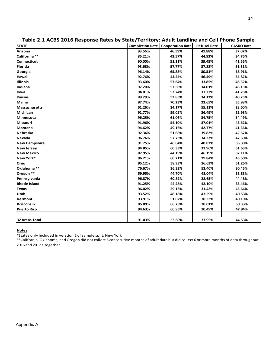| Table 2.1 ACBS 2016 Response Rates by State/Territory: Adult Landline and Cell Phone Sample |                        |                         |                     |                   |
|---------------------------------------------------------------------------------------------|------------------------|-------------------------|---------------------|-------------------|
| <b>STATE</b>                                                                                | <b>Completion Rate</b> | <b>Cooperation Rate</b> | <b>Refusal Rate</b> | <b>CASRO Rate</b> |
| <b>Arizona</b>                                                                              | 93.56%                 | 46.59%                  | 41.88%              | 37.02%            |
| California **                                                                               | 86.21%                 | 43.57%                  | 44.93%              | 34.76%            |
| Connecticut                                                                                 | 90.00%                 | 51.11%                  | 39.45%              | 41.56%            |
| Florida                                                                                     | 93.68%                 | 57.77%                  | 37.88%              | 51.81%            |
| Georgia                                                                                     | 96.14%                 | 65.88%                  | 30.51%              | 58.91%            |
| <b>Hawaii</b>                                                                               | 92.76%                 | 43.25%                  | 46.49%              | 35.82%            |
| <b>Illinois</b>                                                                             | 93.60%                 | 57.64%                  | 33.85%              | 46.32%            |
| Indiana                                                                                     | 97.20%                 | 57.56%                  | 34.01%              | 46.13%            |
| lowa                                                                                        | 94.81%                 | 52.24%                  | 37.23%              | 41.26%            |
| <b>Kansas</b>                                                                               | 89.29%                 | 53.85%                  | 34.12%              | 40.25%            |
| Maine                                                                                       | 97.74%                 | 70.23%                  | 23.65%              | 55.98%            |
| Massachusetts                                                                               | 61.26%                 | 34.17%                  | 55.11%              | 28.60%            |
| Michigan                                                                                    | 91.77%                 | 59.05%                  | 36.49%              | 52.98%            |
| Minnesota                                                                                   | 96.25%                 | 61.06%                  | 34.75%              | 54.49%            |
| Missouri                                                                                    | 91.96%                 | 54.10%                  | 37.01%              | 43.62%            |
| Montana                                                                                     | 94.62%                 | 49.16%                  | 42.77%              | 41.36%            |
| Nebraska                                                                                    | 92.36%                 | 51.68%                  | 39.82%              | 42.67%            |
| Nevada                                                                                      | 96.76%                 | 57.73%                  | 34.32%              | 47.50%            |
| <b>New Hampshire</b>                                                                        | 91.75%                 | 46.84%                  | 40.82%              | 36.30%            |
| <b>New Jersey</b>                                                                           | 94.85%                 | 60.33%                  | 33.96%              | 51.63%            |
| <b>New Mexico</b>                                                                           | 87.95%                 | 44.19%                  | 46.19%              | 37.11%            |
| New York*                                                                                   | 96.21%                 | 60.21%                  | 29.84%              | 45.50%            |
| Ohio                                                                                        | 95.12%                 | 58.33%                  | 36.63%              | 51.26%            |
| Oklahoma **                                                                                 | 76.67%                 | 36.32%                  | 53.40%              | 30.45%            |
| Oregon **                                                                                   | 59.95%                 | 44.70%                  | 48.04%              | 38.83%            |
| Pennsylvania                                                                                | 96.87%                 | 60.82%                  | 28.65%              | 44.48%            |
| <b>Rhode Island</b>                                                                         | 91.25%                 | 44.28%                  | 42.10%              | 33.46%            |
| <b>Texas</b>                                                                                | 96.02%                 | 59.16%                  | 31.42%              | 45.64%            |
| Utah                                                                                        | 93.52%                 | 48.18%                  | 43.59%              | 40.53%            |
| Vermont                                                                                     | 93.91%                 | 51.02%                  | 38.33%              | 40.19%            |
| Wisconsin                                                                                   | 85.89%                 | 68.29%                  | 28.01%              | 60.33%            |
| <b>Puerto Rico</b>                                                                          | 94.63%                 | 60.95%                  | 30.49%              | 47.94%            |
|                                                                                             |                        |                         |                     |                   |
| 32 Areas Total                                                                              | 91.43%                 | 53.89%                  | 37.95%              | 44.53%            |

**\***States only included in verstion 2 of sample split: New York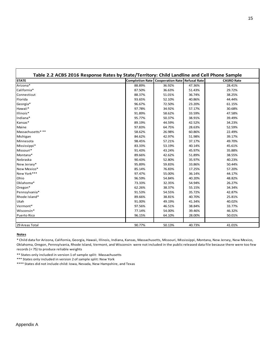| <b>STATE</b>       |        | <b>Completion Rate   Cooperation Rate   Refusal Rate</b> |        | <b>CASRO Rate</b> |
|--------------------|--------|----------------------------------------------------------|--------|-------------------|
| Arizona*           | 88.89% | 36.92%                                                   | 47.36% | 28.41%            |
| California*        | 87.50% | 36.63%                                                   | 51.43% | 29.72%            |
| Connecticut        | 88.37% | 51.01%                                                   | 36.74% | 38.25%            |
| Florida            | 93.65% | 52.10%                                                   | 40.86% | 44.44%            |
| Georgia*           | 96.67% | 72.50%                                                   | 23.20% | 61.15%            |
| Hawaii*            | 97.78% | 34.92%                                                   | 57.17% | 30.68%            |
| Illinois*          | 91.89% | 58.62%                                                   | 33.59% | 47.58%            |
| Indiana*           | 95.77% | 50.37%                                                   | 38.91% | 39.49%            |
| Kansas*            | 89.19% | 44.59%                                                   | 42.52% | 34.23%            |
| Maine              | 97.83% | 64.75%                                                   | 28.63% | 52.59%            |
| Massachusetts***   | 58.62% | 26.98%                                                   | 60.86% | 22.49%            |
| Michigan           | 84.62% | 42.97%                                                   | 51.98% | 39.17%            |
| Minnesota          | 98.45% | 57.21%                                                   | 37.17% | 49.70%            |
| Mississippi*       | 83.33% | 53.19%                                                   | 40.14% | 45.61%            |
| Missouri*          | 91.43% | 43.24%                                                   | 45.97% | 35.88%            |
| Montana*           | 89.66% | 42.62%                                                   | 51.89% | 38.55%            |
| Nebraska           | 90.43% | 52.80%                                                   | 35.97% | 40.23%            |
| New Jersey*        | 95.89% | 59.83%                                                   | 33.86% | 50.44%            |
| New Mexico*        | 85.14% | 76.83%                                                   | 17.25% | 57.20%            |
| New York***        | 97.47% | 55.00%                                                   | 36.14% | 44.17%            |
| Ohio               | 96.59% | 54.84%                                                   | 40.20% | 48.82%            |
| Oklahoma*          | 73.33% | 32.35%                                                   | 54.94% | 26.27%            |
| Oregon*            | 62.26% | 38.37%                                                   | 55.15% | 34.34%            |
| Pennsylvania*      | 91.53% | 54.55%                                                   | 35.72% | 42.87%            |
| Rhode Island*      | 89.66% | 38.81%                                                   | 40.70% | 25.81%            |
| Utah               | 91.00% | 49.19%                                                   | 41.34% | 40.02%            |
| Vermont*           | 97.56% | 46.51%                                                   | 38.84% | 33.77%            |
| Wisconsin*         | 77.14% | 54.00%                                                   | 39.46% | 46.32%            |
| <b>Puerto Rico</b> | 96.15% | 64.10%                                                   | 28.00% | 50.01%            |

\* Child data for Arizona, California, Georgia, Hawaii, Illinois, Indiana, Kansas, Massachusetts, Missouri, Mississippi, Montana, New Jersey, New Mexico, Oklahoma, Oregon, Pennsylvania, Rhode Island, Vermont, and Wisconsin were not included in the public released data file because there were too few records (< 75) to produce reliable weights

\*\* States only included in version 1 of sample split: Massachusetts

\*\*\* States only included in version 2 of sample split: New York

\*\*\*\* States did not include child: Iowa, Nevada, New Hampshire, and Texas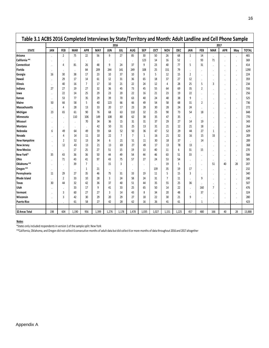|                      |            |                |            |                |            |            | 2016           |                |            |            |                |            |                      |            |                | 2017       |         |              |
|----------------------|------------|----------------|------------|----------------|------------|------------|----------------|----------------|------------|------------|----------------|------------|----------------------|------------|----------------|------------|---------|--------------|
| <b>STATE</b>         | <b>JAN</b> | <b>FEB</b>     | <b>MAR</b> | <b>APR</b>     | <b>MAY</b> | <b>JUN</b> | <b>JUL</b>     | AUG            | <b>SEP</b> | <b>OCT</b> | <b>NOV</b>     | <b>DEC</b> | JAN                  | <b>FEB</b> | <b>MAR</b>     | <b>APR</b> | May     | <b>TOTAL</b> |
| Arizona              |            | $\overline{2}$ | 75         | 22             | 56         | 9          | 27             | 85             | 30         | 50         | 26             | 68         | $\mathbf{1}$         | 14         |                |            |         | 465          |
| California **        |            |                |            | $\cdot$        |            |            |                |                | 123        | 14         | 16             | 52         |                      | 93         | 71             |            | $\cdot$ | 369          |
| Connecticut          |            | 4              | 81         | 26             | 48         | 9          | 24             | 37             | 9          | 23         | 40             | 77         | 5                    | 31         |                |            | $\cdot$ | 414          |
| Florida              |            |                | $\cdot$    | 84             | 209        | 244        | 141            | 249            | 108        | 25         | 151            | 79         |                      |            |                |            | $\cdot$ | 1290         |
| Georgia              | 16         | 30             | 38         | 17             | 23         | 10         | 37             | 10             | 9          | 5          | 12             | 15         | 2                    | $\cdot$    |                |            | $\cdot$ | 224          |
| Hawaii               |            | 29             | 17         | 14             | 61         | 12         | 31             | 36             | 65         | 18         | 37             | 27         | 12                   | $\cdot$    |                |            | $\cdot$ | 359          |
| Illinois             |            | 40             | 16         | $\overline{7}$ | 17         | 10         | 21             | 22             | 24         | 12         | $\overline{4}$ | 28         | 25                   | 5          | 3              |            | $\cdot$ | 234          |
| Indiana              | 27         | 27             | 19         | 27             | 32         | 36         | 45             | 73             | 45         | 55         | 64             | 69         | 35                   | 2          |                |            | $\cdot$ | 556          |
| lowa                 |            | 22             | 14         | 25             | 29         | 23         | 20             | 22             | 16         | 21         | 23             | 19         | 22                   | $\cdot$    |                |            | $\cdot$ | 256          |
| Kansas               |            | 53             | 77         | 35             | 29         | 39         | 70             | 63             | 40         | 24         | 48             | 38         | 9                    | $\cdot$    |                | $\cdot$    | $\cdot$ | 525          |
| Maine                | 50         | 66             | 58         | 5              | 40         | 123        | 66             | 66             | 49         | 54         | 58             | 68         | 31                   | 2          |                | $\cdot$    | $\cdot$ | 736          |
| <b>Massachusetts</b> |            | 4              | 28         | 13             | 33         | 20         | 17             | 23             | 28         | 30         | 28             | 24         | 24                   | $\cdot$    |                |            |         | 272          |
| Michigan             | 23         | 65             | 61         | 90             | 76         | 68         | 63             | 110            | 32         | 25         | 90             | 73         | 54                   | 18         |                |            |         | 848          |
| Minnesota            |            |                | 110        | 106            | 149        | 108        | 80             | 62             | 38         | 35         | 47             | 35         |                      | ٠          |                |            |         | 770          |
| Missouri             |            |                |            | 70             | 34         | 36         | 15             | 31             | 31         | 37         | 29             | 27         | 14                   | 19         |                |            |         | 343          |
| Montana              |            |                |            | $\cdot$        | 42         | 50         | 31             | 25             | 13         | 31         | 21             | 12         | 21                   | 18         | $\cdot$        |            |         | 264          |
| Nebraska             | 6          | 49             | 64         | 49             | 59         | 64         | 52             | 50             | 36         | 47         | 52             | 29         | 44                   | 27         | 1              |            |         | 629          |
| Nevada               |            | 4              | 14         | 11             | 10         | 22         | $\overline{7}$ | $\overline{7}$ | 1          | 16         | 21             | 32         | 16                   | 15         | 33             |            |         | 209          |
| <b>New Hampshire</b> |            | 2              | 52         | 13             | 34         | 6          | 21             | 51             | 11         | 30         | 18             | 37         | $\ddot{\phantom{0}}$ | 14         |                |            |         | 289          |
| New Jersey           |            | 12             | 43         | 13             | 21         | 13         | 69             | 27             | 49         | 17         | 13             | 78         | 13                   |            |                |            |         | 368          |
| <b>New Mexico</b>    |            |                | 17         | 25             | 27         | 51         | 15             | 19             | 13         | 40         | 11             | 6          | 31                   | 15         |                |            |         | 270          |
| New York*            | 35         | 43             | 36         | 36             | 50         | 44         | 49             | 54             | 44         | 46         | 63             | 51         | 33                   |            |                | $\cdot$    | $\cdot$ | 584          |
| Ohio                 |            | 71             | 43         | 41             | 97         | 43         | 75             | 57             | 27         | 24         | 53             | 54         |                      | $\cdot$    | $\cdot$        | $\cdot$    | $\cdot$ | 585          |
| Oklahoma**           |            |                | 39         | $\overline{7}$ | $\cdot$    | 15         | 3              |                | $\cdot$    | $\cdot$    | 19             | 5          |                      | $\cdot$    | 51             | 40         | 28      | 207          |
| Oregon **            |            | $\cdot$        |            | 1              | 21         |            |                |                | $\cdot$    | 139        | 35             | 19         | 17                   | $\cdot$    |                |            |         | 232          |
| Pennsylvania         | 11         | 29             | 27         | 35             | 46         | 75         | 31             | 33             | 19         | 11         | 5              | 15         | 3                    | $\cdot$    |                |            |         | 340          |
| <b>Rhode Island</b>  |            | $\overline{2}$ | 33         | 10             | 28         | 3          | 24             | 58             | 24         | 31         | $\overline{7}$ | 11         |                      | 9          |                |            |         | 240          |
| Texas                | 30         | 44             | 32         | 42             | 36         | 37         | 40             | 51             | 44         | 35         | 55             | 25         | 36                   |            |                |            |         | 507          |
| Utah                 |            |                | 33         | 17             | 9          | 41         | 33             | 25             | 65         | 50         | 14             | 22         | $\cdot$              | 160        | $\overline{7}$ |            |         | 476          |
| Vermont              |            | 3              | 60         | 27             | 27         | 3          | 14             | 43             | 8          | 34         | 20             | 48         |                      | 37         |                |            |         | 324          |
| Wisconsin            |            | 3              | 42         | 30             | 29         | 20         | 29             | 27             | 18         | 22         | 30             | 21         | 9                    | $\cdot$    |                |            |         | 280          |
| <b>Puerto Rico</b>   |            |                | 61         | 58             | 27         | 42         | 28             | 62             | 16         | 26         | 41             | 61         |                      | 1          |                |            |         | 423          |
|                      |            |                |            |                |            |            |                |                |            |            |                |            |                      |            |                |            |         |              |
| 32 Areas Total       | 198        | 604            | 1,190      | 956            | 1,399      | 1,276      | 1,178          | 1,478          | 1,035      | 1,027      | 1,151          | 1,225      | 457                  | 480        | 166            | 40         | 28      | 13,888       |

\*States only included respondents in version 1 of the sample split: New York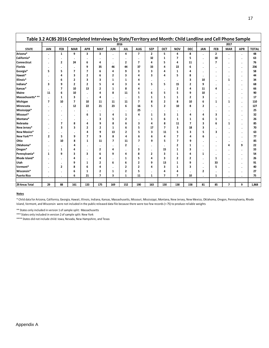|                    |                |                         |                |                |                |                | 2016           |                |                |                |                         |                |                      |              | 2017           |                |              |
|--------------------|----------------|-------------------------|----------------|----------------|----------------|----------------|----------------|----------------|----------------|----------------|-------------------------|----------------|----------------------|--------------|----------------|----------------|--------------|
| <b>STATE</b>       | <b>JAN</b>     | <b>FEB</b>              | <b>MAR</b>     | <b>APR</b>     | <b>MAY</b>     | <b>JUN</b>     | <b>JUL</b>     | <b>AUG</b>     | <b>SEP</b>     | OCT            | <b>NOV</b>              | <b>DEC</b>     | <b>JAN</b>           | <b>FEB</b>   | <b>MAR</b>     | <b>APR</b>     | <b>TOTAL</b> |
| Arizona*           | $\bullet$      | $\mathbf{1}$            | 9              | 3              | 3              | $\bullet$      | 4              | $\overline{7}$ | $\overline{2}$ | 5              | 4                       | 8              | $\cdot$              | $\mathbf{2}$ | $\bullet$      | $\blacksquare$ | 48           |
| California*        |                | ٠                       | ٠              |                |                |                |                |                | 32             | 1              | 7                       | 5              | $\cdot$              | 18           |                | ٠              | 63           |
| Connecticut        | $\bullet$      | $\overline{\mathbf{2}}$ | 24             | 6              | 4              | $\bullet$      | $\overline{2}$ | $\overline{7}$ | 4              | 5              | 4                       | 11             | $\cdot$              | 7            |                | ٠              | 76           |
| Florida            | $\bullet$      | ٠                       | $\cdot$        | 9              | 35             | 46             | 44             | 37             | 33             | 4              | 22                      | 6              | $\cdot$              | $\bullet$    |                | $\bullet$      | 236          |
| Georgia*           | 5              | 5                       | 7              | $\overline{7}$ | 6              | 4              | 9              | 3              | 3              | 4              | 1                       | 4              | ٠                    |              | $\cdot$        | ٠              | 58           |
| Hawaii*            |                | 4                       | 3              | 2              | 6              | 2              | 3              | 4              | 3              | 4              | 5                       | 8              | $\ddot{\phantom{a}}$ | $\bullet$    | $\cdot$        | $\cdot$        | 44           |
| Illinois*          | $\bullet$      | 6                       | 2              | 3              | 3              | 1              | 1              | 4              | $\bullet$      | ٠              |                         | 3              | 10                   | $\bullet$    | 1              | $\bullet$      | 34           |
| Indiana*           | 3              | 9                       | $\mathbf{2}$   | 2              | 5              | 4              | 3              | 4              | 5              | 5              | 15                      | 2              | 9                    |              |                | $\bullet$      | 68           |
| Kansas*            | $\bullet$      | $\overline{7}$          | 10             | 13             | 2              | 1              | 8              | 4              |                |                | 2                       | 4              | 11                   | 4            |                | $\bullet$      | 66           |
| Maine              | 11             | 6                       | 10             |                | 4              | 8              | 11             | 5              | 6              | 5              | 5                       | 9              | 10                   |              |                | ٠              | 90           |
| Massachusetts***   | $\cdot$        | 1                       | 3              | $\cdot$        | 4              | ٠              | $\bullet$      | 1              | 1              | 1              | 1                       | $\overline{2}$ | 3                    | $\cdot$      |                | $\bullet$      | 17           |
| Michigan           | 7              | 10                      | $\overline{7}$ | 10             | 11             | 11             | 11             | $\overline{7}$ | 8              | $\overline{2}$ | 8                       | 10             | 6                    | 1            | 1              | $\cdot$        | 110          |
| Minnesota          |                | $\bullet$               | 12             | 22             | 21             | 23             | 6              | 16             | 5              | $\overline{2}$ | 10                      | 8              | $\overline{2}$       |              |                | $\bullet$      | 127          |
| Mississippi*       |                | $\bullet$               | $\bullet$      | $\cdot$        | ٠              | $\cdot$        | $\bullet$      | 25             | ٠              | ٠              |                         |                |                      |              |                | $\bullet$      | 25           |
| Missouri*          |                | $\bullet$               | $\bullet$      | 6              | 1              | 4              | 1              | 4              | 1              | 3              | 1                       | 4              | 4                    | 3            |                | $\bullet$      | 32           |
| Montana*           |                | $\bullet$               | ٠              | ٠              | 3              | 5              | 2              |                | 1              | 6              | 1                       | 1              | 6                    | 1            |                | $\bullet$      | 26           |
| Nebraska           |                | $\overline{7}$          | 8              | 4              | 9              | 8              | 6              | 3              | 4              | 8              | 11                      | 7              | 3                    | 6            | 1              | $\cdot$        | 85           |
| New Jersey*        |                | 3                       | 3              | 2              | 2              | 1              | 6              | 5              | 17             | $\overline{7}$ | 3                       | 18             | 3                    |              |                | $\bullet$      | 70           |
| <b>New Mexico*</b> |                |                         | ٠              | 4              | 9              | 13             | $\overline{2}$ | 5              | 3              | 11             | 5                       | 3              | 5                    | 3            |                | $\bullet$      | 63           |
| New York***        | $\overline{2}$ | 5                       | 9              | 7              | 9              | 8              | 4              | 6              | 6              | 4              | 7                       | 4              | 6                    | $\cdot$      |                | ٠              | 77           |
| Ohio               |                | 10                      | 8              | 1              | 11             | $\overline{ }$ | 11             | 7              | 9              | 5              | 7                       | 9              | $\cdot$              | $\bullet$    | $\cdot$        | $\bullet$      | 85           |
| Oklahoma*          |                | ٠                       | 4              | $\cdot$        | $\bullet$      | $\bullet$      | 2              |                |                |                | $\overline{\mathbf{c}}$ | 1              | $\cdot$              |              | 4              | 9              | 22           |
| Oregon*            |                | 1                       | 4              |                | 2              | 4              |                | 3              | ٠              | 15             | 1                       | 3              | ٠                    |              |                | ٠              | 33           |
| Pennsylvania*      | 1              | 9                       | 3              | 3              | 6              | 9              | 4              | 8              | 2              | 3              | 1                       | 4              | 1                    |              |                | ٠              | 54           |
| Rhode Island*      |                | ٠                       | 4              |                | 4              | ٠              | 1              | 5              | 4              | 3              | $\overline{2}$          | 2              | $\cdot$              | 1            |                | $\cdot$        | 26           |
| Utah               |                | ٠                       | 9              | 1              | 2              | 6              | 6              | 2              | 9              | 13             | 1                       | 9              | $\cdot$              | 33           |                |                | 91           |
| Vermont*           |                | $\overline{2}$          | 8              | 6              | 4              | $\blacksquare$ | 2              | $\overline{2}$ | 4              | 3              | 1                       | 3              | $\cdot$              | 5            |                |                | 40           |
| Wisconsin*         | $\cdot$        | ٠                       | 6              | 1              | 2              | 1              | $\overline{2}$ | 5              |                | 4              | 4                       | $\cdot$        | $\overline{2}$       | $\bullet$    |                | ٠              | 27           |
| <b>Puerto Rico</b> | $\bullet$      | $\bullet$               | 6              | 21             | $\overline{7}$ | 3              | 1              | 11             | 1              | 7              | 7                       | 10             |                      | 1            | $\bullet$      | $\bullet$      | 75           |
|                    |                |                         |                |                |                |                |                |                |                |                |                         |                |                      |              |                |                |              |
| 29 Areas Total     | 29             | 88                      | 161            | 133            | 175            | 169            | 152            | 190            | 163            | 130            | 138                     | 158            | 81                   | 85           | $\overline{7}$ | 9              | 1,868        |

\* Child data for Arizona, California, Georgia, Hawaii, Illinois, Indiana, Kansas, Massachusetts, Missouri, Mississippi, Montana, New Jersey, New Mexico, Oklahoma, Oregon, Pennsylvania, Rhode Island, Vermont, and Wisconsin were not included in the public released data file because there were too few records (< 75) to produce reliable weights

\*\* States only included in version 1 of sample split: Massachusetts

\*\*\* States only included in version 2 of sample split: New York

\*\*\*\* States did not include child: Iowa, Nevada, New Hampshire, and Texas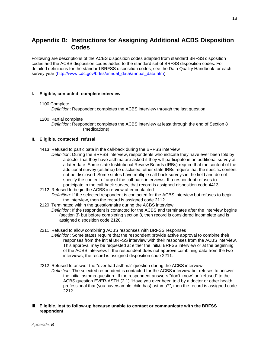# **Appendix B: Instructions for Assigning Additional ACBS Disposition Codes**

Following are descriptions of the ACBS disposition codes adapted from standard BRFSS disposition codes and the ACBS disposition codes added to the standard set of BRFSS disposition codes. For detailed definitions for the standard BRFSS disposition codes, see the Data Quality Handbook for each survey year [\(http://www.cdc.gov/brfss/annual\\_data/annual\\_data.htm\)](http://www.cdc.gov/brfss/annual_data/annual_data.htm).

## **I. Eligible, contacted: complete interview**

#### 1100 Complete

*Definition*: Respondent completes the ACBS interview through the last question.

1200 Partial complete

*Definition*: Respondent completes the ACBS interview at least through the end of Section 8 (medications).

## **II**. **Eligible, contacted: refusal**

- 4413 Refused to participate in the call-back during the BRFSS interview
	- *Definition*: During the BRFSS interview, respondents who indicate they have ever been told by a doctor that they have asthma are asked if they will participate in an additional survey at a later date. Some state Institutional Review Boards (IRBs) require that the content of the additional survey (asthma) be disclosed; other state IRBs require that the specific content not be disclosed. Some states have multiple call-back surveys in the field and do not specify the content of any of the call-back interviews. If a respondent refuses to participate in the call-back survey, that record is assigned disposition code 4413.
- 2112 Refused to begin the ACBS interview after contacted *Definition*: If the selected respondent is contacted for the ACBS interview but refuses to begin the interview, then the record is assigned code 2112.
- 2120 Terminated within the questionnaire during the ACBS interview *Definition*: If the respondent is contacted for the ACBS and terminates after the interview begins (section 3) but before completing section 8, then record is considered incomplete and is assigned disposition code 2120.
- 2211 Refused to allow combining ACBS responses with BRFSS responses *Definition*: Some states require that the respondent provide active approval to combine their responses from the initial BRFSS interview with their responses from the ACBS interview. This approval may be requested at either the initial BRFSS interview or at the beginning of the ACBS interview. If the respondent does not approve combining data from the two interviews, the record is assigned disposition code 2211.
- 2212 Refused to answer the "ever had asthma" question during the ACBS interview *Definition*: The selected respondent is contacted for the ACBS interview but refuses to answer the initial asthma question. If the respondent answers "don't know" or "refused" to the ACBS question EVER-ASTH (2.1) "Have you ever been told by a doctor or other health professional that (you have/sample child has) asthma?", then the record is assigned code 2212.

# **III**. **Eligible, lost to follow-up because unable to contact or communicate with the BRFSS respondent**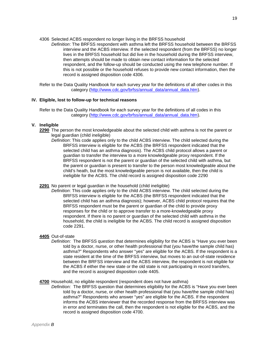4306 Selected ACBS respondent no longer living in the BRFSS household

*Definition*: The BRFSS respondent with asthma left the BRFSS household between the BRFSS interview and the ACBS interview. If the selected respondent (from the BRFSS) no longer lives in the BRFSS household but did live in the household during the BRFSS interview, then attempts should be made to obtain new contact information for the selected respondent, and the follow-up should be conducted using the new telephone number. If this is not possible or the household refuses to provide new contact information, then the record is assigned disposition code 4306.

Refer to the Data Quality Handbook for each survey year for the definitions of all other codes in this category [\(http://www.cdc.gov/brfss/annual\\_data/annual\\_data.htm\)](http://www.cdc.gov/brfss/annual_data/annual_data.htm).

## **IV. Eligible, lost to follow-up for technical reasons**

Refer to the Data Quality Handbook for each survey year for the definitions of all codes in this category [\(http://www.cdc.gov/brfss/annual\\_data/annual\\_data.htm\)](http://www.cdc.gov/brfss/annual_data/annual_data.htm).

### **V. Ineligible**

- **2290** The person the most knowledgeable about the selected child with asthma is not the parent or legal guardian (child ineligible)
	- *Definition*: This code applies only to the child ACBS interview. The child selected during the BRFSS interview is eligible for the ACBS (the BRFSS respondent indicated that the selected child has an asthma diagnosis). The ACBS child protocol allows a parent or guardian to transfer the interview to a more knowledgeable proxy respondent. If the BRFSS respondent is not the parent or guardian of the selected child with asthma, but the parent or guardian is present to transfer to the person most knowledgeable about the child's heath, but the most knowledgeable person is not available, then the child is ineligible for the ACBS. The child record is assigned disposition code 2290

#### **2291** No parent or legal guardian in the household (child ineligible)

*Definition*: This code applies only to the child ACBS interview. The child selected during the BRFSS interview is eligible for the ACBS (the BRFSS respondent indicated that the selected child has an asthma diagnosis); however, ACBS child protocol requires that the BRFSS respondent must be the parent or guardian of the child to provide proxy responses for the child or to approve transfer to a more-knowledgeable proxy respondent. If there is no parent or guardian of the selected child with asthma in the household, the child is ineligible for the ACBS. The child record is assigned disposition code 2291.

#### **4405** Out-of-state

*Definition:* The BRFSS question that determines eligibility for the ACBS is "Have you ever been told by a doctor, nurse, or other health professional that (you have/the sample child has) asthma?" Respondents who answer "yes" are eligible for the ACBS. If the respondent is a state resident at the time of the BRFSS interview, but moves to an out-of-state residence between the BRFSS interview and the ACBS interview, the respondent is not eligible for the ACBS if either the new state or the old state is not participating in record transfers, and the record is assigned disposition code 4405.

### **4700** Household, no eligible respondent (respondent does not have asthma)

*Definition:* The BRFSS question that determines eligibility for the ACBS is "Have you ever been told by a doctor, nurse, or other health professional that (you have/the sample child has) asthma?" Respondents who answer "yes" are eligible for the ACBS. If the respondent informs the ACBS interviewer that the recorded response from the BRFSS interview was in error and terminates the call, then the respondent is not eligible for the ACBS, and the record is assigned disposition code 4700.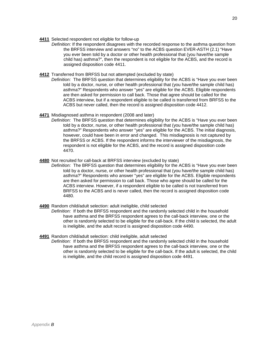20

- **4411** Selected respondent not eligible for follow-up
	- *Definition:* If the respondent disagrees with the recorded response to the asthma question from the BRFSS interview and answers "no" to the ACBS question EVER-ASTH (2.1) "Have you ever been told by a doctor or other health professional that (you have/the sample child has) asthma?", then the respondent is not eligible for the ACBS, and the record is assigned disposition code 4411.
- **4412** Transferred from BRFSS but not attempted (excluded by state)
	- *Definition:* The BRFSS question that determines eligibility for the ACBS is "Have you ever been told by a doctor, nurse, or other health professional that (you have/the sample child has) asthma?" Respondents who answer "yes" are eligible for the ACBS. Eligible respondents are then asked for permission to call back. Those that agree should be called for the ACBS interview, but if a respondent eligible to be called is transferred from BRFSS to the ACBS but never called, then the record is assigned disposition code 4412.
- **4471** Misdiagnosed asthma in respondent (2008 and later)
	- *Definition:* The BRFSS question that determines eligibility for the ACBS is "Have you ever been told by a doctor, nurse, or other health professional that (you have/the sample child has) asthma?" Respondents who answer "yes" are eligible for the ACBS. The initial diagnosis, however, could have been in error and changed. This misdiagnosis is not captured by the BRFSS or ACBS. If the respondent informs the interviewer of the misdiagnosis, the respondent is not eligible for the ACBS, and the record is assigned disposition code 4470.
- **4480** Not recruited for call-back at BRFSS interview (excluded by state)
	- *Definition:* The BRFSS question that determines eligibility for the ACBS is "Have you ever been told by a doctor, nurse, or other health professional that (you have/the sample child has) asthma?" Respondents who answer "yes" are eligible for the ACBS. Eligible respondents are then asked for permission to call back. Those who agree should be called for the ACBS interview. However, if a respondent eligible to be called is not transferred from BRFSS to the ACBS and is never called, then the record is assigned disposition code 4480.
- **4490** Random child/adult selection: adult ineligible, child selected
	- *Definition:* If both the BRFSS respondent and the randomly selected child in the household have asthma and the BRFSS respondent agrees to the call-back interview, one or the other is randomly selected to be eligible for the call-back. If the child is selected, the adult is ineligible, and the adult record is assigned disposition code 4490.
- **4491** Random child/adult selection: child ineligible, adult selected *Definition:* If both the BRFSS respondent and the randomly selected child in the household have asthma and the BRFSS respondent agrees to the call-back interview, one or the other is randomly selected to be eligible for the call-back. If the adult is selected, the child is ineligible, and the child record is assigned disposition code 4491.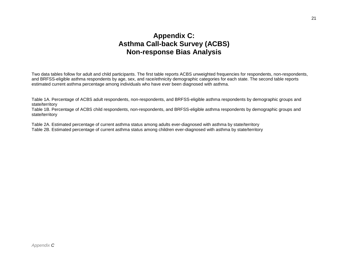# **Appendix C: Asthma Call-back Survey (ACBS) Non-response Bias Analysis**

Two data tables follow for adult and child participants. The first table reports ACBS unweighted frequencies for respondents, non-respondents, and BRFSS-eligible asthma respondents by age, sex, and race/ethnicity demographic categories for each state. The second table reports estimated current asthma percentage among individuals who have ever been diagnosed with asthma.

Table 1A. Percentage of ACBS adult respondents, non-respondents, and BRFSS-eligible asthma respondents by demographic groups and state/territory

Table 1B. Percentage of ACBS child respondents, non-respondents, and BRFSS-eligible asthma respondents by demographic groups and state/territory

Table 2A. Estimated percentage of current asthma status among adults ever-diagnosed with asthma by state/territory

Table 2B. Estimated percentage of current asthma status among children ever-diagnosed with asthma by state/territory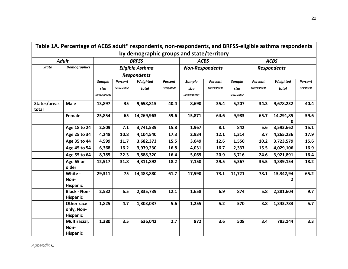|              | Table 1A. Percentage of ACBS adult* respondents, non-respondents, and BRFSS-eligible asthma respondents |              |              |                                           |            |              |                        |               |              |                    |            |
|--------------|---------------------------------------------------------------------------------------------------------|--------------|--------------|-------------------------------------------|------------|--------------|------------------------|---------------|--------------|--------------------|------------|
|              |                                                                                                         |              |              | by demographic groups and state/territory |            |              |                        |               |              |                    |            |
|              | <b>Adult</b>                                                                                            |              |              | <b>BRFSS</b>                              |            |              | <b>ACBS</b>            |               |              | <b>ACBS</b>        |            |
| <b>State</b> | <b>Demographics</b>                                                                                     |              |              | <b>Eligible Asthma</b>                    |            |              | <b>Non-Respondents</b> |               |              | <b>Respondents</b> |            |
|              |                                                                                                         |              |              | <b>Respondents</b>                        |            |              |                        |               |              |                    |            |
|              |                                                                                                         | Sample       | Percent      | Weighted                                  | Percent    | Sample       | Percent                | <b>Sample</b> | Percent      | Weighted           | Percent    |
|              |                                                                                                         | size         | (unweighted) | total                                     | (weighted) | size         | (unweighted)           | size          | (unweighted) | total              | (weighted) |
|              |                                                                                                         | (unweighted) |              |                                           |            | (unweighted) |                        | (unweighted)  |              |                    |            |
| States/areas | <b>Male</b>                                                                                             | 13,897       | 35           | 9,658,815                                 | 40.4       | 8,690        | 35.4                   | 5,207         | 34.3         | 9,678,232          | 40.4       |
| total        |                                                                                                         |              |              |                                           |            |              |                        |               |              |                    |            |
|              | Female                                                                                                  | 25,854       | 65           | 14,269,963                                | 59.6       | 15,871       | 64.6                   | 9,983         | 65.7         | 14,291,85          | 59.6       |
|              |                                                                                                         |              |              |                                           |            |              |                        |               |              | 0                  |            |
|              | Age 18 to 24                                                                                            | 2,809        | 7.1          | 3,741,539                                 | 15.8       | 1,967        | 8.1                    | 842           | 5.6          | 3,593,662          | 15.1       |
|              | Age 25 to 34                                                                                            | 4,248        | 10.8         | 4,104,540                                 | 17.3       | 2,934        | 12.1                   | 1,314         | 8.7          | 4,265,236          | 17.9       |
|              | Age 35 to 44                                                                                            | 4,599        | 11.7         | 3,682,373                                 | 15.5       | 3,049        | 12.6                   | 1,550         | 10.2         | 3,723,579          | 15.6       |
|              | Age 45 to 54                                                                                            | 6,368        | 16.2         | 3,979,230                                 | 16.8       | 4,031        | 16.7                   | 2,337         | 15.5         | 4,029,106          | 16.9       |
|              | Age 55 to 64                                                                                            | 8,785        | 22.3         | 3,888,320                                 | 16.4       | 5,069        | 20.9                   | 3,716         | 24.6         | 3,921,891          | 16.4       |
|              | Age 65 or                                                                                               | 12,517       | 31.8         | 4,311,892                                 | 18.2       | 7,150        | 29.5                   | 5,367         | 35.5         | 4,339,154          | 18.2       |
|              | older                                                                                                   |              |              |                                           |            |              |                        |               |              |                    |            |
|              | White -                                                                                                 | 29,311       | 75           | 14,483,880                                | 61.7       | 17,590       | 73.1                   | 11,721        | 78.1         | 15,342,94          | 65.2       |
|              | Non-                                                                                                    |              |              |                                           |            |              |                        |               |              | 2                  |            |
|              | <b>Hispanic</b>                                                                                         |              |              |                                           |            |              |                        |               |              |                    |            |
|              | <b>Black - Non-</b>                                                                                     | 2,532        | 6.5          | 2,835,739                                 | 12.1       | 1,658        | 6.9                    | 874           | 5.8          | 2,281,604          | 9.7        |
|              | <b>Hispanic</b>                                                                                         |              |              |                                           |            |              |                        |               |              |                    |            |
|              | Other race                                                                                              | 1,825        | 4.7          | 1,303,087                                 | 5.6        | 1,255        | $5.2$                  | 570           | 3.8          | 1,343,783          | 5.7        |
|              | only, Non-                                                                                              |              |              |                                           |            |              |                        |               |              |                    |            |
|              | <b>Hispanic</b>                                                                                         |              |              |                                           |            |              |                        |               |              |                    |            |
|              | Multiracial,                                                                                            | 1,380        | 3.5          | 636,042                                   | 2.7        | 872          | 3.6                    | 508           | 3.4          | 783,144            | 3.3        |
|              | Non-                                                                                                    |              |              |                                           |            |              |                        |               |              |                    |            |
|              | <b>Hispanic</b>                                                                                         |              |              |                                           |            |              |                        |               |              |                    |            |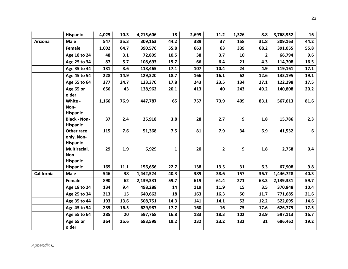|                   | <b>Hispanic</b>                             | 4,025 | 10.3 | 4,215,606 | 18           | 2,699 | 11.2         | 1,326 | 8.8            | 3,768,952 | 16   |
|-------------------|---------------------------------------------|-------|------|-----------|--------------|-------|--------------|-------|----------------|-----------|------|
| Arizona           | <b>Male</b>                                 | 547   | 35.3 | 309,163   | 44.2         | 389   | 37           | 158   | 31.8           | 309,163   | 44.2 |
|                   | Female                                      | 1,002 | 64.7 | 390,576   | 55.8         | 663   | 63           | 339   | 68.2           | 391,055   | 55.8 |
|                   | Age 18 to 24                                | 48    | 3.1  | 72,809    | 10.5         | 38    | 3.7          | 10    | $\overline{2}$ | 66,794    | 9.6  |
|                   | Age 25 to 34                                | 87    | 5.7  | 108,693   | 15.7         | 66    | 6.4          | 21    | 4.3            | 114,708   | 16.5 |
|                   | Age 35 to 44                                | 131   | 8.6  | 118,465   | 17.1         | 107   | 10.4         | 24    | 4.9            | 119,161   | 17.1 |
|                   | Age 45 to 54                                | 228   | 14.9 | 129,320   | 18.7         | 166   | 16.1         | 62    | 12.6           | 133,195   | 19.1 |
|                   | Age 55 to 64                                | 377   | 24.7 | 123,370   | 17.8         | 243   | 23.5         | 134   | 27.1           | 122,298   | 17.5 |
|                   | Age 65 or<br>older                          | 656   | 43   | 138,962   | 20.1         | 413   | 40           | 243   | 49.2           | 140,808   | 20.2 |
|                   | White -<br>Non-<br><b>Hispanic</b>          | 1,166 | 76.9 | 447,787   | 65           | 757   | 73.9         | 409   | 83.1           | 567,613   | 81.6 |
|                   | <b>Black - Non-</b><br><b>Hispanic</b>      | 37    | 2.4  | 25,918    | 3.8          | 28    | 2.7          | 9     | 1.8            | 15,786    | 2.3  |
|                   | Other race<br>only, Non-<br><b>Hispanic</b> | 115   | 7.6  | 51,368    | 7.5          | 81    | 7.9          | 34    | 6.9            | 41,532    | 6    |
|                   | Multiracial,<br>Non-<br><b>Hispanic</b>     | 29    | 1.9  | 6,929     | $\mathbf{1}$ | 20    | $\mathbf{2}$ | 9     | 1.8            | 2,758     | 0.4  |
|                   | <b>Hispanic</b>                             | 169   | 11.1 | 156,656   | 22.7         | 138   | 13.5         | 31    | 6.3            | 67,908    | 9.8  |
| <b>California</b> | <b>Male</b>                                 | 546   | 38   | 1,442,524 | 40.3         | 389   | 38.6         | 157   | 36.7           | 1,446,728 | 40.3 |
|                   | Female                                      | 890   | 62   | 2,139,331 | 59.7         | 619   | 61.4         | 271   | 63.3           | 2,139,331 | 59.7 |
|                   | Age 18 to 24                                | 134   | 9.4  | 498,288   | 14           | 119   | 11.9         | 15    | 3.5            | 370,848   | 10.4 |
|                   | Age 25 to 34                                | 213   | 15   | 640,662   | 18           | 163   | 16.3         | 50    | 11.7           | 771,685   | 21.6 |
|                   | Age 35 to 44                                | 193   | 13.6 | 508,751   | 14.3         | 141   | 14.1         | 52    | 12.2           | 522,095   | 14.6 |
|                   | Age 45 to 54                                | 235   | 16.5 | 629,987   | 17.7         | 160   | 16           | 75    | 17.6           | 626,779   | 17.5 |
|                   | Age 55 to 64                                | 285   | 20   | 597,768   | 16.8         | 183   | 18.3         | 102   | 23.9           | 597,113   | 16.7 |
|                   | Age 65 or<br>older                          | 364   | 25.6 | 683,599   | 19.2         | 232   | 23.2         | 132   | 31             | 686,462   | 19.2 |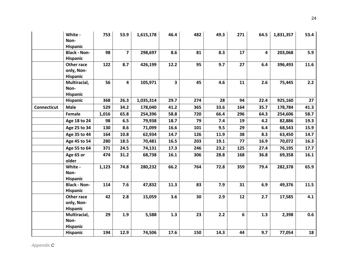|                    | White -<br>Non-<br><b>Hispanic</b>          | 753   | 53.9                    | 1,615,178 | 46.4         | 482 | 49.3 | 271 | 64.5 | 1,831,357 | 53.4 |
|--------------------|---------------------------------------------|-------|-------------------------|-----------|--------------|-----|------|-----|------|-----------|------|
|                    | <b>Black - Non-</b><br>Hispanic             | 98    | $\overline{\mathbf{z}}$ | 298,697   | 8.6          | 81  | 8.3  | 17  | 4    | 203,068   | 5.9  |
|                    | Other race<br>only, Non-<br><b>Hispanic</b> | 122   | 8.7                     | 426,199   | 12.2         | 95  | 9.7  | 27  | 6.4  | 396,493   | 11.6 |
|                    | Multiracial,<br>Non-<br>Hispanic            | 56    | 4                       | 105,971   | $\mathbf{3}$ | 45  | 4.6  | 11  | 2.6  | 75,445    | 2.2  |
|                    | Hispanic                                    | 368   | 26.3                    | 1,035,314 | 29.7         | 274 | 28   | 94  | 22.4 | 925,160   | 27   |
| <b>Connecticut</b> | <b>Male</b>                                 | 529   | 34.2                    | 178,040   | 41.2         | 365 | 33.6 | 164 | 35.7 | 178,784   | 41.3 |
|                    | Female                                      | 1,016 | 65.8                    | 254,396   | 58.8         | 720 | 66.4 | 296 | 64.3 | 254,606   | 58.7 |
|                    | Age 18 to 24                                | 98    | 6.5                     | 79,938    | 18.7         | 79  | 7.4  | 19  | 4.2  | 82,886    | 19.3 |
|                    | Age 25 to 34                                | 130   | 8.6                     | 71,099    | 16.6         | 101 | 9.5  | 29  | 6.4  | 68,543    | 15.9 |
|                    | Age 35 to 44                                | 164   | 10.8                    | 62,934    | 14.7         | 126 | 11.9 | 38  | 8.3  | 63,450    | 14.7 |
|                    | Age 45 to 54                                | 280   | 18.5                    | 70,481    | 16.5         | 203 | 19.1 | 77  | 16.9 | 70,072    | 16.3 |
|                    | Age 55 to 64                                | 371   | 24.5                    | 74,131    | 17.3         | 246 | 23.2 | 125 | 27.4 | 76,195    | 17.7 |
|                    | Age 65 or<br>older                          | 474   | 31.2                    | 68,738    | 16.1         | 306 | 28.8 | 168 | 36.8 | 69,358    | 16.1 |
|                    | White -<br>Non-<br>Hispanic                 | 1,123 | 74.8                    | 280,232   | 66.2         | 764 | 72.8 | 359 | 79.4 | 282,378   | 65.9 |
|                    | <b>Black - Non-</b><br><b>Hispanic</b>      | 114   | 7.6                     | 47,832    | 11.3         | 83  | 7.9  | 31  | 6.9  | 49,376    | 11.5 |
|                    | Other race<br>only, Non-<br>Hispanic        | 42    | 2.8                     | 15,059    | 3.6          | 30  | 2.9  | 12  | 2.7  | 17,585    | 4.1  |
|                    | Multiracial,<br>Non-<br><b>Hispanic</b>     | 29    | 1.9                     | 5,588     | 1.3          | 23  | 2.2  | 6   | 1.3  | 2,398     | 0.6  |
|                    | Hispanic                                    | 194   | 12.9                    | 74,506    | 17.6         | 150 | 14.3 | 44  | 9.7  | 77,054    | 18   |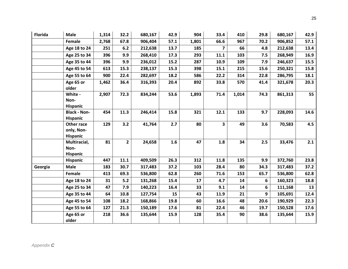| <b>Florida</b> | <b>Male</b>                                 | 1,314 | 32.2           | 680,167 | 42.9 | 904   | 33.4           | 410   | 29.8 | 680,167 | 42.9 |
|----------------|---------------------------------------------|-------|----------------|---------|------|-------|----------------|-------|------|---------|------|
|                | Female                                      | 2,768 | 67.8           | 906,404 | 57.1 | 1,801 | 66.6           | 967   | 70.2 | 906,852 | 57.1 |
|                | Age 18 to 24                                | 251   | 6.2            | 212,638 | 13.7 | 185   | $\overline{7}$ | 66    | 4.8  | 212,638 | 13.4 |
|                | Age 25 to 34                                | 396   | 9.9            | 268,410 | 17.3 | 293   | 11.1           | 103   | 7.5  | 268,949 | 16.9 |
|                | Age 35 to 44                                | 396   | 9.9            | 236,012 | 15.2 | 287   | 10.9           | 109   | 7.9  | 246,637 | 15.5 |
|                | Age 45 to 54                                | 613   | 15.3           | 238,137 | 15.3 | 398   | 15.1           | 215   | 15.6 | 250,321 | 15.8 |
|                | Age 55 to 64                                | 900   | 22.4           | 282,697 | 18.2 | 586   | 22.2           | 314   | 22.8 | 286,795 | 18.1 |
|                | Age 65 or<br>older                          | 1,462 | 36.4           | 316,393 | 20.4 | 892   | 33.8           | 570   | 41.4 | 321,678 | 20.3 |
|                | White -<br>Non-<br><b>Hispanic</b>          | 2,907 | 72.3           | 834,244 | 53.6 | 1,893 | 71.4           | 1,014 | 74.3 | 861,313 | 55   |
|                | <b>Black - Non-</b><br><b>Hispanic</b>      | 454   | 11.3           | 246,414 | 15.8 | 321   | 12.1           | 133   | 9.7  | 228,093 | 14.6 |
|                | Other race<br>only, Non-<br><b>Hispanic</b> | 129   | 3.2            | 41,764  | 2.7  | 80    | 3              | 49    | 3.6  | 70,583  | 4.5  |
|                | Multiracial,<br>Non-<br><b>Hispanic</b>     | 81    | $\overline{2}$ | 24,658  | 1.6  | 47    | 1.8            | 34    | 2.5  | 33,476  | 2.1  |
|                | <b>Hispanic</b>                             | 447   | 11.1           | 409,509 | 26.3 | 312   | 11.8           | 135   | 9.9  | 372,760 | 23.8 |
| Georgia        | <b>Male</b>                                 | 183   | 30.7           | 317,483 | 37.2 | 103   | 28.4           | 80    | 34.3 | 317,483 | 37.2 |
|                | Female                                      | 413   | 69.3           | 536,800 | 62.8 | 260   | 71.6           | 153   | 65.7 | 536,800 | 62.8 |
|                | Age 18 to 24                                | 31    | 5.2            | 131,268 | 15.4 | 17    | 4.7            | 14    | 6    | 160,323 | 18.8 |
|                | Age 25 to 34                                | 47    | 7.9            | 140,223 | 16.4 | 33    | 9.1            | 14    | 6    | 111,168 | 13   |
|                | Age 35 to 44                                | 64    | 10.8           | 127,754 | 15   | 43    | 11.9           | 21    | 9    | 105,691 | 12.4 |
|                | Age 45 to 54                                | 108   | 18.2           | 168,866 | 19.8 | 60    | 16.6           | 48    | 20.6 | 190,929 | 22.3 |
|                | Age 55 to 64                                | 127   | 21.3           | 150,189 | 17.6 | 81    | 22.4           | 46    | 19.7 | 150,528 | 17.6 |
|                | Age 65 or<br>older                          | 218   | 36.6           | 135,644 | 15.9 | 128   | 35.4           | 90    | 38.6 | 135,644 | 15.9 |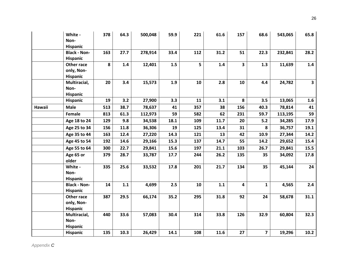|        | White -<br>Non-<br>Hispanic             | 378 | 64.3 | 500,048 | 59.9 | 221 | 61.6    | 157                     | 68.6                    | 543,065 | 65.8                    |
|--------|-----------------------------------------|-----|------|---------|------|-----|---------|-------------------------|-------------------------|---------|-------------------------|
|        | <b>Black - Non-</b><br>Hispanic         | 163 | 27.7 | 278,914 | 33.4 | 112 | 31.2    | 51                      | 22.3                    | 232,841 | 28.2                    |
|        | Other race<br>only, Non-<br>Hispanic    | 8   | 1.4  | 12,401  | 1.5  | 5   | 1.4     | $\overline{\mathbf{3}}$ | 1.3                     | 11,639  | 1.4                     |
|        | Multiracial,<br>Non-<br>Hispanic        | 20  | 3.4  | 15,573  | 1.9  | 10  | 2.8     | 10                      | 4.4                     | 24,782  | $\overline{\mathbf{3}}$ |
|        | Hispanic                                | 19  | 3.2  | 27,900  | 3.3  | 11  | 3.1     | 8                       | 3.5                     | 13,065  | 1.6                     |
| Hawaii | <b>Male</b>                             | 513 | 38.7 | 78,637  | 41   | 357 | 38      | 156                     | 40.3                    | 78,814  | 41                      |
|        | Female                                  | 813 | 61.3 | 112,973 | 59   | 582 | 62      | 231                     | 59.7                    | 113,195 | 59                      |
|        | Age 18 to 24                            | 129 | 9.8  | 34,538  | 18.1 | 109 | 11.7    | 20                      | $5.2$                   | 34,285  | 17.9                    |
|        | Age 25 to 34                            | 156 | 11.8 | 36,306  | 19   | 125 | 13.4    | 31                      | 8                       | 36,757  | 19.1                    |
|        | Age 35 to 44                            | 163 | 12.4 | 27,220  | 14.3 | 121 | 13      | 42                      | 10.9                    | 27,344  | 14.2                    |
|        | Age 45 to 54                            | 192 | 14.6 | 29,166  | 15.3 | 137 | 14.7    | 55                      | 14.2                    | 29,652  | 15.4                    |
|        | Age 55 to 64                            | 300 | 22.7 | 29,841  | 15.6 | 197 | 21.1    | 103                     | 26.7                    | 29,841  | 15.5                    |
|        | Age 65 or<br>older                      | 379 | 28.7 | 33,787  | 17.7 | 244 | 26.2    | 135                     | 35                      | 34,092  | 17.8                    |
|        | White -<br>Non-<br><b>Hispanic</b>      | 335 | 25.6 | 33,532  | 17.8 | 201 | 21.7    | 134                     | 35                      | 45,144  | 24                      |
|        | <b>Black - Non-</b><br>Hispanic         | 14  | 1.1  | 4,699   | 2.5  | 10  | $1.1\,$ | $\overline{\mathbf{4}}$ | $\mathbf{1}$            | 4,565   | 2.4                     |
|        | Other race<br>only, Non-<br>Hispanic    | 387 | 29.5 | 66,174  | 35.2 | 295 | 31.8    | 92                      | 24                      | 58,678  | 31.1                    |
|        | Multiracial,<br>Non-<br><b>Hispanic</b> | 440 | 33.6 | 57,083  | 30.4 | 314 | 33.8    | 126                     | 32.9                    | 60,804  | 32.3                    |
|        | Hispanic                                | 135 | 10.3 | 26,429  | 14.1 | 108 | 11.6    | 27                      | $\overline{\mathbf{z}}$ | 19,296  | 10.2                    |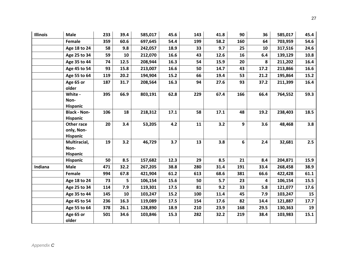| <b>Illinois</b> | <b>Male</b>                                 | 233 | 39.4 | 585,017 | 45.6 | 143 | 41.8 | 90  | 36   | 585,017 | 45.4 |
|-----------------|---------------------------------------------|-----|------|---------|------|-----|------|-----|------|---------|------|
|                 | Female                                      | 359 | 60.6 | 697,645 | 54.4 | 199 | 58.2 | 160 | 64   | 703,959 | 54.6 |
|                 | Age 18 to 24                                | 58  | 9.8  | 242,057 | 18.9 | 33  | 9.7  | 25  | 10   | 317,516 | 24.6 |
|                 | Age 25 to 34                                | 59  | 10   | 212,070 | 16.6 | 43  | 12.6 | 16  | 6.4  | 139,129 | 10.8 |
|                 | Age 35 to 44                                | 74  | 12.5 | 208,944 | 16.3 | 54  | 15.9 | 20  | 8    | 211,202 | 16.4 |
|                 | Age 45 to 54                                | 93  | 15.8 | 213,007 | 16.6 | 50  | 14.7 | 43  | 17.2 | 213,866 | 16.6 |
|                 | Age 55 to 64                                | 119 | 20.2 | 194,904 | 15.2 | 66  | 19.4 | 53  | 21.2 | 195,864 | 15.2 |
|                 | Age 65 or<br>older                          | 187 | 31.7 | 208,564 | 16.3 | 94  | 27.6 | 93  | 37.2 | 211,399 | 16.4 |
|                 | White -<br>Non-<br><b>Hispanic</b>          | 395 | 66.9 | 803,191 | 62.8 | 229 | 67.4 | 166 | 66.4 | 764,552 | 59.3 |
|                 | <b>Black - Non-</b><br><b>Hispanic</b>      | 106 | 18   | 218,312 | 17.1 | 58  | 17.1 | 48  | 19.2 | 238,403 | 18.5 |
|                 | Other race<br>only, Non-<br><b>Hispanic</b> | 20  | 3.4  | 53,205  | 4.2  | 11  | 3.2  | 9   | 3.6  | 48,468  | 3.8  |
|                 | Multiracial,<br>Non-<br><b>Hispanic</b>     | 19  | 3.2  | 46,729  | 3.7  | 13  | 3.8  | 6   | 2.4  | 32,681  | 2.5  |
|                 | <b>Hispanic</b>                             | 50  | 8.5  | 157,682 | 12.3 | 29  | 8.5  | 21  | 8.4  | 204,871 | 15.9 |
| Indiana         | <b>Male</b>                                 | 471 | 32.2 | 267,205 | 38.8 | 280 | 31.4 | 191 | 33.4 | 268,458 | 38.9 |
|                 | Female                                      | 994 | 67.8 | 421,904 | 61.2 | 613 | 68.6 | 381 | 66.6 | 422,428 | 61.1 |
|                 | Age 18 to 24                                | 73  | 5    | 106,154 | 15.6 | 50  | 5.7  | 23  | 4    | 106,154 | 15.5 |
|                 | Age 25 to 34                                | 114 | 7.9  | 119,301 | 17.5 | 81  | 9.2  | 33  | 5.8  | 121,077 | 17.6 |
|                 | Age 35 to 44                                | 145 | 10   | 103,247 | 15.2 | 100 | 11.4 | 45  | 7.9  | 103,247 | 15   |
|                 | Age 45 to 54                                | 236 | 16.3 | 119,089 | 17.5 | 154 | 17.6 | 82  | 14.4 | 121,887 | 17.7 |
|                 | Age 55 to 64                                | 378 | 26.1 | 128,890 | 18.9 | 210 | 23.9 | 168 | 29.5 | 130,363 | 19   |
|                 | Age 65 or<br>older                          | 501 | 34.6 | 103,846 | 15.3 | 282 | 32.2 | 219 | 38.4 | 103,983 | 15.1 |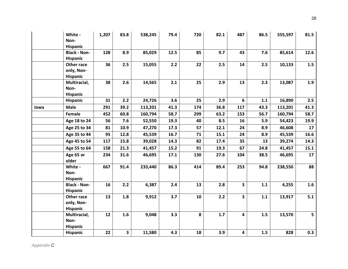|      | White -<br>Non-<br><b>Hispanic</b>          | 1,207 | 83.8                    | 538,245 | 79.4 | 720 | 82.1 | 487                     | 86.5 | 555,597 | 81.5 |
|------|---------------------------------------------|-------|-------------------------|---------|------|-----|------|-------------------------|------|---------|------|
|      | <b>Black - Non-</b><br><b>Hispanic</b>      | 128   | 8.9                     | 85,029  | 12.5 | 85  | 9.7  | 43                      | 7.6  | 85,614  | 12.6 |
|      | Other race<br>only, Non-<br><b>Hispanic</b> | 36    | 2.5                     | 15,055  | 2.2  | 22  | 2.5  | 14                      | 2.5  | 10,133  | 1.5  |
|      | Multiracial,<br>Non-<br><b>Hispanic</b>     | 38    | 2.6                     | 14,565  | 2.1  | 25  | 2.9  | 13                      | 2.3  | 13,087  | 1.9  |
|      | <b>Hispanic</b>                             | 31    | 2.2                     | 24,726  | 3.6  | 25  | 2.9  | 6                       | 1.1  | 16,890  | 2.5  |
| lowa | Male                                        | 291   | 39.2                    | 113,201 | 41.3 | 174 | 36.8 | 117                     | 43.3 | 113,201 | 41.3 |
|      | Female                                      | 452   | 60.8                    | 160,794 | 58.7 | 299 | 63.2 | 153                     | 56.7 | 160,794 | 58.7 |
|      | Age 18 to 24                                | 56    | 7.6                     | 52,550  | 19.3 | 40  | 8.5  | 16                      | 5.9  | 54,423  | 19.9 |
|      | Age 25 to 34                                | 81    | 10.9                    | 47,270  | 17.3 | 57  | 12.1 | 24                      | 8.9  | 46,608  | 17   |
|      | Age 35 to 44                                | 95    | 12.8                    | 45,539  | 16.7 | 71  | 15.1 | 24                      | 8.9  | 45,539  | 16.6 |
|      | Age 45 to 54                                | 117   | 15.8                    | 39,028  | 14.3 | 82  | 17.4 | 35                      | 13   | 39,274  | 14.3 |
|      | Age 55 to 64                                | 158   | 21.3                    | 41,457  | 15.2 | 91  | 19.3 | 67                      | 24.8 | 41,457  | 15.1 |
|      | Age 65 or<br>older                          | 234   | 31.6                    | 46,695  | 17.1 | 130 | 27.6 | 104                     | 38.5 | 46,695  | 17   |
|      | White -<br>Non-<br>Hispanic                 | 667   | 91.4                    | 233,440 | 86.3 | 414 | 89.4 | 253                     | 94.8 | 238,550 | 88   |
|      | <b>Black - Non-</b><br>Hispanic             | 16    | 2.2                     | 6,387   | 2.4  | 13  | 2.8  | $\overline{\mathbf{3}}$ | 1.1  | 4,255   | 1.6  |
|      | Other race<br>only, Non-<br>Hispanic        | 13    | 1.8                     | 9,912   | 3.7  | 10  | 2.2  | $\overline{\mathbf{3}}$ | 1.1  | 13,917  | 5.1  |
|      | Multiracial,<br>Non-<br><b>Hispanic</b>     | 12    | 1.6                     | 9,048   | 3.3  | 8   | 1.7  | $\overline{\mathbf{4}}$ | 1.5  | 13,570  | 5    |
|      | <b>Hispanic</b>                             | 22    | $\overline{\mathbf{3}}$ | 11,580  | 4.3  | 18  | 3.9  | $\overline{\mathbf{4}}$ | 1.5  | 828     | 0.3  |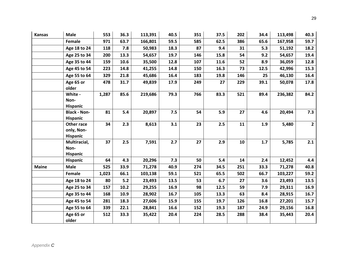| <b>Kansas</b> | <b>Male</b>                                 | 553   | 36.3 | 113,391 | 40.5 | 351 | 37.5 | 202 | 34.4 | 113,498 | 40.3           |
|---------------|---------------------------------------------|-------|------|---------|------|-----|------|-----|------|---------|----------------|
|               | Female                                      | 971   | 63.7 | 166,801 | 59.5 | 585 | 62.5 | 386 | 65.6 | 167,958 | 59.7           |
|               | Age 18 to 24                                | 118   | 7.8  | 50,983  | 18.3 | 87  | 9.4  | 31  | 5.3  | 51,192  | 18.2           |
|               | Age 25 to 34                                | 200   | 13.3 | 54,657  | 19.7 | 146 | 15.8 | 54  | 9.2  | 54,657  | 19.4           |
|               | Age 35 to 44                                | 159   | 10.6 | 35,500  | 12.8 | 107 | 11.6 | 52  | 8.9  | 36,059  | 12.8           |
|               | Age 45 to 54                                | 223   | 14.8 | 41,255  | 14.8 | 150 | 16.3 | 73  | 12.5 | 42,996  | 15.3           |
|               | Age 55 to 64                                | 329   | 21.8 | 45,686  | 16.4 | 183 | 19.8 | 146 | 25   | 46,130  | 16.4           |
|               | Age 65 or<br>older                          | 478   | 31.7 | 49,839  | 17.9 | 249 | 27   | 229 | 39.1 | 50,078  | 17.8           |
|               | White -<br>Non-<br><b>Hispanic</b>          | 1,287 | 85.6 | 219,686 | 79.3 | 766 | 83.3 | 521 | 89.4 | 236,382 | 84.2           |
|               | <b>Black - Non-</b><br><b>Hispanic</b>      | 81    | 5.4  | 20,897  | 7.5  | 54  | 5.9  | 27  | 4.6  | 20,494  | 7.3            |
|               | Other race<br>only, Non-<br><b>Hispanic</b> | 34    | 2.3  | 8,613   | 3.1  | 23  | 2.5  | 11  | 1.9  | 5,480   | $\overline{2}$ |
|               | Multiracial,<br>Non-<br><b>Hispanic</b>     | 37    | 2.5  | 7,591   | 2.7  | 27  | 2.9  | 10  | 1.7  | 5,785   | 2.1            |
|               | <b>Hispanic</b>                             | 64    | 4.3  | 20,296  | 7.3  | 50  | 5.4  | 14  | 2.4  | 12,452  | 4.4            |
| <b>Maine</b>  | <b>Male</b>                                 | 525   | 33.9 | 71,278  | 40.9 | 274 | 34.5 | 251 | 33.3 | 71,278  | 40.8           |
|               | Female                                      | 1,023 | 66.1 | 103,138 | 59.1 | 521 | 65.5 | 502 | 66.7 | 103,227 | 59.2           |
|               | Age 18 to 24                                | 80    | 5.2  | 23,493  | 13.5 | 53  | 6.7  | 27  | 3.6  | 23,493  | 13.5           |
|               | Age 25 to 34                                | 157   | 10.2 | 29,255  | 16.9 | 98  | 12.5 | 59  | 7.9  | 29,311  | 16.9           |
|               | Age 35 to 44                                | 168   | 10.9 | 28,902  | 16.7 | 105 | 13.3 | 63  | 8.4  | 28,915  | 16.7           |
|               | Age 45 to 54                                | 281   | 18.3 | 27,606  | 15.9 | 155 | 19.7 | 126 | 16.8 | 27,201  | 15.7           |
|               | Age 55 to 64                                | 339   | 22.1 | 28,841  | 16.6 | 152 | 19.3 | 187 | 24.9 | 29,156  | 16.8           |
|               | Age 65 or<br>older                          | 512   | 33.3 | 35,422  | 20.4 | 224 | 28.5 | 288 | 38.4 | 35,443  | 20.4           |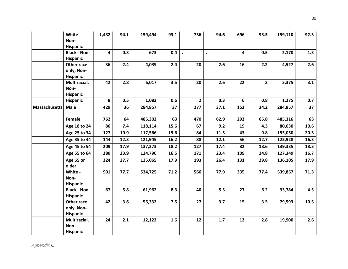|                      | White -<br>Non-<br>Hispanic             | 1,432 | 94.1 | 159,494 | 93.1 | 736         | 94.6 | 696                     | 93.5 | 159,110 | 92.3 |
|----------------------|-----------------------------------------|-------|------|---------|------|-------------|------|-------------------------|------|---------|------|
|                      | <b>Black - Non-</b><br>Hispanic         | 4     | 0.3  | 673     | 0.4  |             |      | $\overline{\mathbf{4}}$ | 0.5  | 2,170   | 1.3  |
|                      | Other race<br>only, Non-<br>Hispanic    | 36    | 2.4  | 4,039   | 2.4  | 20          | 2.6  | 16                      | 2.2  | 4,527   | 2.6  |
|                      | Multiracial,<br>Non-<br>Hispanic        | 42    | 2.8  | 6,017   | 3.5  | 20          | 2.6  | 22                      | 3    | 5,375   | 3.1  |
|                      | Hispanic                                | 8     | 0.5  | 1,083   | 0.6  | $2^{\circ}$ | 0.3  | 6                       | 0.8  | 1,275   | 0.7  |
| <b>Massachusetts</b> | <b>Male</b>                             | 429   | 36   | 284,857 | 37   | 277         | 37.1 | 152                     | 34.2 | 284,857 | 37   |
|                      | Female                                  | 762   | 64   | 485,302 | 63   | 470         | 62.9 | 292                     | 65.8 | 485,316 | 63   |
|                      | Age 18 to 24                            | 86    | 7.4  | 118,114 | 15.6 | 67          | 9.2  | 19                      | 4.3  | 80,630  | 10.6 |
|                      | Age 25 to 34                            | 127   | 10.9 | 117,566 | 15.6 | 84          | 11.5 | 43                      | 9.8  | 155,050 | 20.3 |
|                      | Age 35 to 44                            | 144   | 12.3 | 121,945 | 16.2 | 88          | 12.1 | 56                      | 12.7 | 123,928 | 16.3 |
|                      | Age 45 to 54                            | 209   | 17.9 | 137,373 | 18.2 | 127         | 17.4 | 82                      | 18.6 | 139,335 | 18.3 |
|                      | Age 55 to 64                            | 280   | 23.9 | 124,790 | 16.5 | 171         | 23.4 | 109                     | 24.8 | 127,349 | 16.7 |
|                      | Age 65 or<br>older                      | 324   | 27.7 | 135,065 | 17.9 | 193         | 26.4 | 131                     | 29.8 | 136,105 | 17.9 |
|                      | White -<br>Non-<br><b>Hispanic</b>      | 901   | 77.7 | 534,725 | 71.2 | 566         | 77.9 | 335                     | 77.4 | 539,867 | 71.3 |
|                      | <b>Black - Non-</b><br>Hispanic         | 67    | 5.8  | 61,962  | 8.3  | 40          | 5.5  | 27                      | 6.2  | 33,784  | 4.5  |
|                      | Other race<br>only, Non-<br>Hispanic    | 42    | 3.6  | 56,332  | 7.5  | 27          | 3.7  | 15                      | 3.5  | 79,593  | 10.5 |
|                      | Multiracial,<br>Non-<br><b>Hispanic</b> | 24    | 2.1  | 12,122  | 1.6  | 12          | 1.7  | 12                      | 2.8  | 19,900  | 2.6  |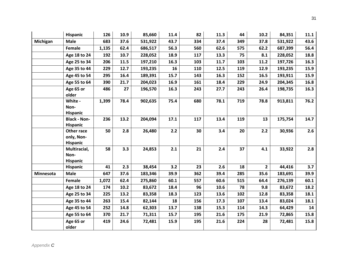|                  | <b>Hispanic</b>                             | 126   | 10.9 | 85,660  | 11.4 | 82  | 11.3 | 44  | 10.2           | 84,351  | 11.1 |
|------------------|---------------------------------------------|-------|------|---------|------|-----|------|-----|----------------|---------|------|
| Michigan         | <b>Male</b>                                 | 683   | 37.6 | 531,922 | 43.7 | 334 | 37.4 | 349 | 37.8           | 531,922 | 43.6 |
|                  | Female                                      | 1,135 | 62.4 | 686,517 | 56.3 | 560 | 62.6 | 575 | 62.2           | 687,399 | 56.4 |
|                  | Age 18 to 24                                | 192   | 10.7 | 228,052 | 18.9 | 117 | 13.3 | 75  | 8.1            | 228,052 | 18.8 |
|                  | Age 25 to 34                                | 206   | 11.5 | 197,210 | 16.3 | 103 | 11.7 | 103 | 11.2           | 197,726 | 16.3 |
|                  | Age 35 to 44                                | 229   | 12.7 | 193,235 | 16   | 110 | 12.5 | 119 | 12.9           | 193,235 | 15.9 |
|                  | Age 45 to 54                                | 295   | 16.4 | 189,391 | 15.7 | 143 | 16.3 | 152 | 16.5           | 193,911 | 15.9 |
|                  | Age 55 to 64                                | 390   | 21.7 | 204,023 | 16.9 | 161 | 18.4 | 229 | 24.9           | 204,345 | 16.8 |
|                  | Age 65 or<br>older                          | 486   | 27   | 196,570 | 16.3 | 243 | 27.7 | 243 | 26.4           | 198,735 | 16.3 |
|                  | White -<br>Non-<br><b>Hispanic</b>          | 1,399 | 78.4 | 902,635 | 75.4 | 680 | 78.1 | 719 | 78.8           | 913,811 | 76.2 |
|                  | <b>Black - Non-</b><br><b>Hispanic</b>      | 236   | 13.2 | 204,094 | 17.1 | 117 | 13.4 | 119 | 13             | 175,754 | 14.7 |
|                  | Other race<br>only, Non-<br><b>Hispanic</b> | 50    | 2.8  | 26,480  | 2.2  | 30  | 3.4  | 20  | 2.2            | 30,936  | 2.6  |
|                  | Multiracial,<br>Non-<br><b>Hispanic</b>     | 58    | 3.3  | 24,853  | 2.1  | 21  | 2.4  | 37  | 4.1            | 33,922  | 2.8  |
|                  | Hispanic                                    | 41    | 2.3  | 38,454  | 3.2  | 23  | 2.6  | 18  | $\overline{2}$ | 44,416  | 3.7  |
| <b>Minnesota</b> | <b>Male</b>                                 | 647   | 37.6 | 183,346 | 39.9 | 362 | 39.4 | 285 | 35.6           | 183,691 | 39.9 |
|                  | Female                                      | 1,072 | 62.4 | 275,860 | 60.1 | 557 | 60.6 | 515 | 64.4           | 276,139 | 60.1 |
|                  | Age 18 to 24                                | 174   | 10.2 | 83,672  | 18.4 | 96  | 10.6 | 78  | 9.8            | 83,672  | 18.2 |
|                  | Age 25 to 34                                | 225   | 13.2 | 83,358  | 18.3 | 123 | 13.6 | 102 | 12.8           | 83,358  | 18.1 |
|                  | Age 35 to 44                                | 263   | 15.4 | 82,144  | 18   | 156 | 17.3 | 107 | 13.4           | 83,024  | 18.1 |
|                  | Age 45 to 54                                | 252   | 14.8 | 62,303  | 13.7 | 138 | 15.3 | 114 | 14.3           | 64,429  | 14   |
|                  | Age 55 to 64                                | 370   | 21.7 | 71,311  | 15.7 | 195 | 21.6 | 175 | 21.9           | 72,865  | 15.8 |
|                  | Age 65 or<br>older                          | 419   | 24.6 | 72,481  | 15.9 | 195 | 21.6 | 224 | 28             | 72,481  | 15.8 |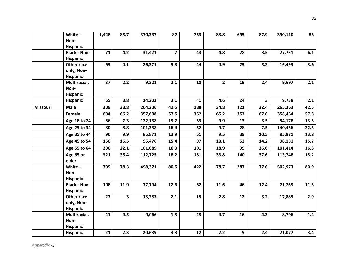|          | White -<br>Non-<br>Hispanic             | 1,448 | 85.7 | 370,337 | 82             | 753        | 83.8           | 695 | 87.9                    | 390,110 | 86   |
|----------|-----------------------------------------|-------|------|---------|----------------|------------|----------------|-----|-------------------------|---------|------|
|          | <b>Black - Non-</b><br>Hispanic         | 71    | 4.2  | 31,421  | $\overline{7}$ | 43         | 4.8            | 28  | 3.5                     | 27,751  | 6.1  |
|          | Other race<br>only, Non-<br>Hispanic    | 69    | 4.1  | 26,371  | 5.8            | 44         | 4.9            | 25  | 3.2                     | 16,493  | 3.6  |
|          | Multiracial,<br>Non-<br>Hispanic        | 37    | 2.2  | 9,321   | 2.1            | 18         | $\overline{2}$ | 19  | 2.4                     | 9,697   | 2.1  |
|          | Hispanic                                | 65    | 3.8  | 14,203  | 3.1            | 41         | 4.6            | 24  | $\overline{\mathbf{3}}$ | 9,738   | 2.1  |
| Missouri | <b>Male</b>                             | 309   | 33.8 | 264,206 | 42.5           | 188        | 34.8           | 121 | 32.4                    | 265,363 | 42.5 |
|          | Female                                  | 604   | 66.2 | 357,698 | 57.5           | 352        | 65.2           | 252 | 67.6                    | 358,464 | 57.5 |
|          | Age 18 to 24                            | 66    | 7.3  | 122,138 | 19.7           | 53         | 9.9            | 13  | 3.5                     | 84,178  | 13.5 |
|          | Age 25 to 34                            | 80    | 8.8  | 101,338 | 16.4           | 52         | 9.7            | 28  | 7.5                     | 140,456 | 22.5 |
|          | Age 35 to 44                            | 90    | 9.9  | 85,871  | 13.9           | 51         | 9.5            | 39  | 10.5                    | 85,871  | 13.8 |
|          | Age 45 to 54                            | 150   | 16.5 | 95,476  | 15.4           | 97         | 18.1           | 53  | 14.2                    | 98,151  | 15.7 |
|          | Age 55 to 64                            | 200   | 22.1 | 101,089 | 16.3           | 101        | 18.9           | 99  | 26.6                    | 101,414 | 16.3 |
|          | Age 65 or<br>older                      | 321   | 35.4 | 112,725 | 18.2           | 181        | 33.8           | 140 | 37.6                    | 113,748 | 18.2 |
|          | White -<br>Non-<br>Hispanic             | 709   | 78.3 | 498,371 | 80.5           | 422        | 78.7           | 287 | 77.6                    | 502,973 | 80.9 |
|          | <b>Black - Non-</b><br>Hispanic         | 108   | 11.9 | 77,794  | 12.6           | 62         | 11.6           | 46  | 12.4                    | 71,269  | 11.5 |
|          | Other race<br>only, Non-<br>Hispanic    | 27    | 3    | 13,253  | 2.1            | 15         | 2.8            | 12  | 3.2                     | 17,885  | 2.9  |
|          | Multiracial,<br>Non-<br><b>Hispanic</b> | 41    | 4.5  | 9,066   | 1.5            | 25         | 4.7            | 16  | 4.3                     | 8,796   | 1.4  |
|          | Hispanic                                | 21    | 2.3  | 20,639  | 3.3            | ${\bf 12}$ | 2.2            | 9   | 2.4                     | 21,077  | 3.4  |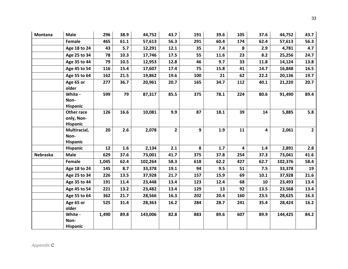| <b>Montana</b> | <b>Male</b>                                 | 296   | 38.9 | 44,752  | 43.7         | 191 | 39.6 | 105 | 37.6 | 44,752  | 43.7           |
|----------------|---------------------------------------------|-------|------|---------|--------------|-----|------|-----|------|---------|----------------|
|                | Female                                      | 465   | 61.1 | 57,613  | 56.3         | 291 | 60.4 | 174 | 62.4 | 57,613  | 56.3           |
|                | Age 18 to 24                                | 43    | 5.7  | 12,291  | 12.1         | 35  | 7.4  | 8   | 2.9  | 4,781   | 4.7            |
|                | Age 25 to 34                                | 78    | 10.3 | 17,746  | 17.5         | 55  | 11.6 | 23  | 8.2  | 25,256  | 24.7           |
|                | Age 35 to 44                                | 79    | 10.5 | 12,953  | 12.8         | 46  | 9.7  | 33  | 11.8 | 14,124  | 13.8           |
|                | Age 45 to 54                                | 116   | 15.4 | 17,607  | 17.4         | 75  | 15.8 | 41  | 14.7 | 16,848  | 16.5           |
|                | Age 55 to 64                                | 162   | 21.5 | 19,862  | 19.6         | 100 | 21   | 62  | 22.2 | 20,136  | 19.7           |
|                | Age 65 or<br>older                          | 277   | 36.7 | 20,961  | 20.7         | 165 | 34.7 | 112 | 40.1 | 21,220  | 20.7           |
|                | White -<br>Non-<br><b>Hispanic</b>          | 599   | 79   | 87,317  | 85.5         | 375 | 78.1 | 224 | 80.6 | 91,490  | 89.4           |
|                | Other race<br>only, Non-<br><b>Hispanic</b> | 126   | 16.6 | 10,081  | 9.9          | 87  | 18.1 | 39  | 14   | 5,885   | 5.8            |
|                | Multiracial,<br>Non-<br><b>Hispanic</b>     | 20    | 2.6  | 2,078   | $\mathbf{2}$ | 9   | 1.9  | 11  | 4    | 2,061   | $\overline{2}$ |
|                | <b>Hispanic</b>                             | 12    | 1.6  | 2,134   | 2.1          | 8   | 1.7  | 4   | 1.4  | 2,891   | 2.8            |
| Nebraska       | <b>Male</b>                                 | 629   | 37.6 | 73,001  | 41.7         | 375 | 37.8 | 254 | 37.3 | 73,041  | 41.6           |
|                | Female                                      | 1,045 | 62.4 | 102,264 | 58.3         | 618 | 62.2 | 427 | 62.7 | 102,376 | 58.4           |
|                | Age 18 to 24                                | 145   | 8.7  | 33,378  | 19.1         | 94  | 9.5  | 51  | 7.5  | 33,378  | 19             |
|                | Age 25 to 34                                | 226   | 13.5 | 37,928  | 21.7         | 157 | 15.9 | 69  | 10.1 | 37,928  | 21.6           |
|                | Age 35 to 44                                | 191   | 11.4 | 23,448  | 13.4         | 123 | 12.4 | 68  | 10   | 23,493  | 13.4           |
|                | Age 45 to 54                                | 221   | 13.2 | 23,482  | 13.4         | 129 | 13   | 92  | 13.5 | 23,568  | 13.4           |
|                | Age 55 to 64                                | 362   | 21.7 | 28,566  | 16.3         | 202 | 20.4 | 160 | 23.5 | 28,625  | 16.3           |
|                | Age 65 or<br>older                          | 525   | 31.4 | 28,363  | 16.2         | 284 | 28.7 | 241 | 35.4 | 28,424  | 16.2           |
|                | White -<br>Non-<br><b>Hispanic</b>          | 1,490 | 89.8 | 143,006 | 82.8         | 883 | 89.6 | 607 | 89.9 | 144,425 | 84.2           |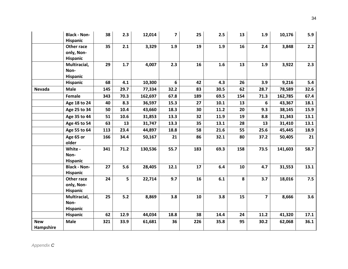|                         | <b>Black - Non-</b><br><b>Hispanic</b>      | 38  | 2.3   | 12,014  | $\overline{7}$ | 25  | 2.5  | 13  | 1.9                     | 10,176  | 5.9  |
|-------------------------|---------------------------------------------|-----|-------|---------|----------------|-----|------|-----|-------------------------|---------|------|
|                         | Other race<br>only, Non-<br><b>Hispanic</b> | 35  | 2.1   | 3,329   | 1.9            | 19  | 1.9  | 16  | 2.4                     | 3,848   | 2.2  |
|                         | Multiracial,<br>Non-<br>Hispanic            | 29  | 1.7   | 4,007   | 2.3            | 16  | 1.6  | 13  | 1.9                     | 3,922   | 2.3  |
|                         | <b>Hispanic</b>                             | 68  | 4.1   | 10,300  | 6              | 42  | 4.3  | 26  | 3.9                     | 9,216   | 5.4  |
| Nevada                  | <b>Male</b>                                 | 145 | 29.7  | 77,334  | 32.2           | 83  | 30.5 | 62  | 28.7                    | 78,589  | 32.6 |
|                         | Female                                      | 343 | 70.3  | 162,697 | 67.8           | 189 | 69.5 | 154 | 71.3                    | 162,785 | 67.4 |
|                         | Age 18 to 24                                | 40  | 8.3   | 36,597  | 15.3           | 27  | 10.1 | 13  | 6                       | 43,367  | 18.1 |
|                         | Age 25 to 34                                | 50  | 10.4  | 43,660  | 18.3           | 30  | 11.2 | 20  | 9.3                     | 38,145  | 15.9 |
|                         | Age 35 to 44                                | 51  | 10.6  | 31,853  | 13.3           | 32  | 11.9 | 19  | 8.8                     | 31,343  | 13.1 |
|                         | Age 45 to 54                                | 63  | 13    | 31,747  | 13.3           | 35  | 13.1 | 28  | 13                      | 31,410  | 13.1 |
|                         | Age 55 to 64                                | 113 | 23.4  | 44,897  | 18.8           | 58  | 21.6 | 55  | 25.6                    | 45,445  | 18.9 |
|                         | Age 65 or<br>older                          | 166 | 34.4  | 50,167  | 21             | 86  | 32.1 | 80  | 37.2                    | 50,405  | 21   |
|                         | White -<br>Non-<br>Hispanic                 | 341 | 71.2  | 130,536 | 55.7           | 183 | 69.3 | 158 | 73.5                    | 141,603 | 58.7 |
|                         | <b>Black - Non-</b><br><b>Hispanic</b>      | 27  | 5.6   | 28,405  | 12.1           | 17  | 6.4  | 10  | 4.7                     | 31,553  | 13.1 |
|                         | Other race<br>only, Non-<br><b>Hispanic</b> | 24  | 5     | 22,714  | 9.7            | 16  | 6.1  | 8   | 3.7                     | 18,016  | 7.5  |
|                         | Multiracial,<br>Non-<br>Hispanic            | 25  | $5.2$ | 8,869   | 3.8            | 10  | 3.8  | 15  | $\overline{\mathbf{z}}$ | 8,666   | 3.6  |
|                         | Hispanic                                    | 62  | 12.9  | 44,034  | 18.8           | 38  | 14.4 | 24  | 11.2                    | 41,320  | 17.1 |
| <b>New</b><br>Hampshire | <b>Male</b>                                 | 321 | 33.9  | 61,681  | 36             | 226 | 35.8 | 95  | 30.2                    | 62,068  | 36.1 |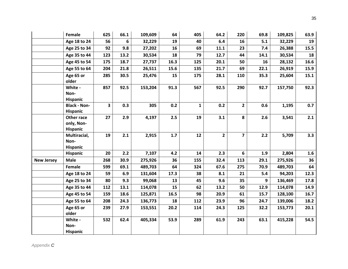|                   | Female              | 625                     | 66.1 | 109,609 | 64   | 405          | 64.2           | 220                     | 69.8 | 109,825 | 63.9 |
|-------------------|---------------------|-------------------------|------|---------|------|--------------|----------------|-------------------------|------|---------|------|
|                   | Age 18 to 24        | 56                      | 6    | 32,229  | 19   | 40           | 6.4            | 16                      | 5.1  | 32,229  | 19   |
|                   | Age 25 to 34        | 92                      | 9.8  | 27,202  | 16   | 69           | 11.1           | 23                      | 7.4  | 26,388  | 15.5 |
|                   | Age 35 to 44        | 123                     | 13.2 | 30,534  | 18   | 79           | 12.7           | 44                      | 14.1 | 30,534  | 18   |
|                   | Age 45 to 54        | 175                     | 18.7 | 27,737  | 16.3 | 125          | 20.1           | 50                      | 16   | 28,132  | 16.6 |
|                   | Age 55 to 64        | 204                     | 21.8 | 26,511  | 15.6 | 135          | 21.7           | 69                      | 22.1 | 26,919  | 15.9 |
|                   | Age 65 or           | 285                     | 30.5 | 25,476  | 15   | 175          | 28.1           | 110                     | 35.3 | 25,604  | 15.1 |
|                   | older               |                         |      |         |      |              |                |                         |      |         |      |
|                   | White -             | 857                     | 92.5 | 153,204 | 91.3 | 567          | 92.5           | 290                     | 92.7 | 157,750 | 92.3 |
|                   | Non-                |                         |      |         |      |              |                |                         |      |         |      |
|                   | <b>Hispanic</b>     |                         |      |         |      |              |                |                         |      |         |      |
|                   | <b>Black - Non-</b> | $\overline{\mathbf{3}}$ | 0.3  | 305     | 0.2  | $\mathbf{1}$ | 0.2            | $2^{\circ}$             | 0.6  | 1,195   | 0.7  |
|                   | <b>Hispanic</b>     |                         |      |         |      |              |                |                         |      |         |      |
|                   | Other race          | 27                      | 2.9  | 4,197   | 2.5  | 19           | 3.1            | 8                       | 2.6  | 3,541   | 2.1  |
|                   | only, Non-          |                         |      |         |      |              |                |                         |      |         |      |
|                   | Hispanic            |                         |      |         |      |              |                |                         |      |         |      |
|                   | Multiracial,        | 19                      | 2.1  | 2,915   | 1.7  | 12           | $\overline{2}$ | $\overline{\mathbf{z}}$ | 2.2  | 5,709   | 3.3  |
|                   | Non-                |                         |      |         |      |              |                |                         |      |         |      |
|                   | <b>Hispanic</b>     |                         |      |         |      |              |                |                         |      |         |      |
|                   | Hispanic            | 20                      | 2.2  | 7,107   | 4.2  | 14           | 2.3            | 6                       | 1.9  | 2,804   | 1.6  |
| <b>New Jersey</b> | <b>Male</b>         | 268                     | 30.9 | 275,926 | 36   | 155          | 32.4           | 113                     | 29.1 | 275,926 | 36   |
|                   | Female              | 599                     | 69.1 | 489,703 | 64   | 324          | 67.6           | 275                     | 70.9 | 489,703 | 64   |
|                   | Age 18 to 24        | 59                      | 6.9  | 131,604 | 17.3 | 38           | 8.1            | 21                      | 5.4  | 94,203  | 12.3 |
|                   | Age 25 to 34        | 80                      | 9.3  | 99,068  | 13   | 45           | 9.6            | 35                      | 9    | 136,469 | 17.8 |
|                   | Age 35 to 44        | 112                     | 13.1 | 114,078 | 15   | 62           | 13.2           | 50                      | 12.9 | 114,078 | 14.9 |
|                   | Age 45 to 54        | 159                     | 18.6 | 125,871 | 16.5 | 98           | 20.9           | 61                      | 15.7 | 128,100 | 16.7 |
|                   | Age 55 to 64        | 208                     | 24.3 | 136,773 | 18   | 112          | 23.9           | 96                      | 24.7 | 139,006 | 18.2 |
|                   | Age 65 or           | 239                     | 27.9 | 153,551 | 20.2 | 114          | 24.3           | 125                     | 32.2 | 153,773 | 20.1 |
|                   | older               |                         |      |         |      |              |                |                         |      |         |      |
|                   | White -             | 532                     | 62.4 | 405,334 | 53.9 | 289          | 61.9           | 243                     | 63.1 | 415,228 | 54.5 |
|                   | Non-                |                         |      |         |      |              |                |                         |      |         |      |
|                   | <b>Hispanic</b>     |                         |      |         |      |              |                |                         |      |         |      |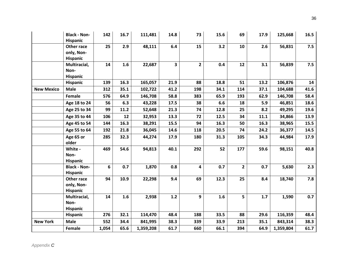|                   | <b>Black - Non-</b><br>Hispanic             | 142   | 16.7 | 111,481   | 14.8 | 73             | 15.6 | 69             | 17.9 | 125,668   | 16.5 |
|-------------------|---------------------------------------------|-------|------|-----------|------|----------------|------|----------------|------|-----------|------|
|                   | Other race<br>only, Non-<br><b>Hispanic</b> | 25    | 2.9  | 48,111    | 6.4  | 15             | 3.2  | 10             | 2.6  | 56,831    | 7.5  |
|                   | Multiracial,<br>Non-<br><b>Hispanic</b>     | 14    | 1.6  | 22,687    | 3    | $\overline{2}$ | 0.4  | 12             | 3.1  | 56,839    | 7.5  |
|                   | Hispanic                                    | 139   | 16.3 | 165,057   | 21.9 | 88             | 18.8 | 51             | 13.2 | 106,876   | 14   |
| <b>New Mexico</b> | <b>Male</b>                                 | 312   | 35.1 | 102,722   | 41.2 | 198            | 34.1 | 114            | 37.1 | 104,688   | 41.6 |
|                   | Female                                      | 576   | 64.9 | 146,708   | 58.8 | 383            | 65.9 | 193            | 62.9 | 146,708   | 58.4 |
|                   | Age 18 to 24                                | 56    | 6.3  | 43,228    | 17.5 | 38             | 6.6  | 18             | 5.9  | 46,851    | 18.6 |
|                   | Age 25 to 34                                | 99    | 11.2 | 52,648    | 21.3 | 74             | 12.8 | 25             | 8.2  | 49,295    | 19.6 |
|                   | Age 35 to 44                                | 106   | 12   | 32,953    | 13.3 | 72             | 12.5 | 34             | 11.1 | 34,866    | 13.9 |
|                   | Age 45 to 54                                | 144   | 16.3 | 38,291    | 15.5 | 94             | 16.3 | 50             | 16.3 | 38,965    | 15.5 |
|                   | Age 55 to 64                                | 192   | 21.8 | 36,045    | 14.6 | 118            | 20.5 | 74             | 24.2 | 36,377    | 14.5 |
|                   | Age 65 or<br>older                          | 285   | 32.3 | 44,274    | 17.9 | 180            | 31.3 | 105            | 34.3 | 44,984    | 17.9 |
|                   | White -<br>Non-<br>Hispanic                 | 469   | 54.6 | 94,813    | 40.1 | 292            | 52   | 177            | 59.6 | 98,151    | 40.8 |
|                   | <b>Black - Non-</b><br>Hispanic             | 6     | 0.7  | 1,870     | 0.8  | 4              | 0.7  | $\overline{2}$ | 0.7  | 5,630     | 2.3  |
|                   | Other race<br>only, Non-<br><b>Hispanic</b> | 94    | 10.9 | 22,298    | 9.4  | 69             | 12.3 | 25             | 8.4  | 18,740    | 7.8  |
|                   | Multiracial,<br>Non-<br>Hispanic            | 14    | 1.6  | 2,938     | 1.2  | 9              | 1.6  | 5              | 1.7  | 1,590     | 0.7  |
|                   | <b>Hispanic</b>                             | 276   | 32.1 | 114,470   | 48.4 | 188            | 33.5 | 88             | 29.6 | 116,359   | 48.4 |
| <b>New York</b>   | <b>Male</b>                                 | 552   | 34.4 | 841,995   | 38.3 | 339            | 33.9 | 213            | 35.1 | 843,314   | 38.3 |
|                   | Female                                      | 1,054 | 65.6 | 1,359,208 | 61.7 | 660            | 66.1 | 394            | 64.9 | 1,359,804 | 61.7 |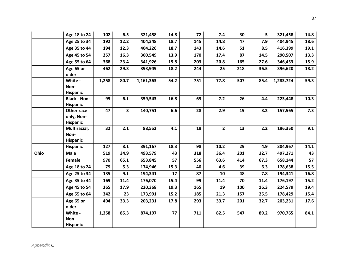|      | Age 18 to 24            | 102   | 6.5                     | 321,458   | 14.8 | 72  | 7.4                     | 30  | 5    | 321,458   | 14.8 |
|------|-------------------------|-------|-------------------------|-----------|------|-----|-------------------------|-----|------|-----------|------|
|      | Age 25 to 34            | 192   | 12.2                    | 404,348   | 18.7 | 145 | 14.8                    | 47  | 7.9  | 404,945   | 18.6 |
|      | Age 35 to 44            | 194   | 12.3                    | 404,226   | 18.7 | 143 | 14.6                    | 51  | 8.5  | 416,399   | 19.1 |
|      | Age 45 to 54            | 257   | 16.3                    | 300,549   | 13.9 | 170 | 17.4                    | 87  | 14.5 | 290,507   | 13.3 |
|      |                         |       |                         |           |      |     |                         |     |      |           |      |
|      | Age 55 to 64            | 368   | 23.4                    | 341,926   | 15.8 | 203 | 20.8                    | 165 | 27.6 | 346,453   | 15.9 |
|      | Age 65 or               | 462   | 29.3                    | 393,949   | 18.2 | 244 | 25                      | 218 | 36.5 | 396,620   | 18.2 |
|      | older                   |       |                         |           |      |     |                         |     |      |           |      |
|      | White -                 | 1,258 | 80.7                    | 1,161,363 | 54.2 | 751 | 77.8                    | 507 | 85.4 | 1,283,724 | 59.3 |
|      | Non-<br><b>Hispanic</b> |       |                         |           |      |     |                         |     |      |           |      |
|      | <b>Black - Non-</b>     | 95    | 6.1                     | 359,543   | 16.8 | 69  | $7.2$                   | 26  | 4.4  | 223,448   | 10.3 |
|      | <b>Hispanic</b>         |       |                         |           |      |     |                         |     |      |           |      |
|      | Other race              | 47    | $\overline{\mathbf{3}}$ | 140,751   | 6.6  | 28  | 2.9                     | 19  | 3.2  | 157,565   | 7.3  |
|      | only, Non-              |       |                         |           |      |     |                         |     |      |           |      |
|      | <b>Hispanic</b>         |       |                         |           |      |     |                         |     |      |           |      |
|      | Multiracial,            | 32    | 2.1                     | 88,552    | 4.1  | 19  | $\overline{\mathbf{2}}$ | 13  | 2.2  | 196,350   | 9.1  |
|      | Non-                    |       |                         |           |      |     |                         |     |      |           |      |
|      | <b>Hispanic</b>         |       |                         |           |      |     |                         |     |      |           |      |
|      | Hispanic                | 127   | 8.1                     | 391,167   | 18.3 | 98  | 10.2                    | 29  | 4.9  | 304,967   | 14.1 |
| Ohio | <b>Male</b>             | 519   | 34.9                    | 493,579   | 43   | 318 | 36.4                    | 201 | 32.7 | 497,271   | 43   |
|      | Female                  | 970   | 65.1                    | 653,845   | 57   | 556 | 63.6                    | 414 | 67.3 | 658,144   | 57   |
|      | Age 18 to 24            | 79    | 5.3                     | 174,946   | 15.3 | 40  | 4.6                     | 39  | 6.3  | 178,638   | 15.5 |
|      | Age 25 to 34            | 135   | 9.1                     | 194,341   | 17   | 87  | 10                      | 48  | 7.8  | 194,341   | 16.8 |
|      | Age 35 to 44            | 169   | 11.4                    | 176,070   | 15.4 | 99  | 11.4                    | 70  | 11.4 | 176,197   | 15.2 |
|      | Age 45 to 54            | 265   | 17.9                    | 220,368   | 19.3 | 165 | 19                      | 100 | 16.3 | 224,579   | 19.4 |
|      | Age 55 to 64            | 342   | 23                      | 173,991   | 15.2 | 185 | 21.3                    | 157 | 25.5 | 178,429   | 15.4 |
|      | Age 65 or               | 494   | 33.3                    | 203,231   | 17.8 | 293 | 33.7                    | 201 | 32.7 | 203,231   | 17.6 |
|      | older                   |       |                         |           |      |     |                         |     |      |           |      |
|      | White -                 | 1,258 | 85.3                    | 874,197   | 77   | 711 | 82.5                    | 547 | 89.2 | 970,765   | 84.1 |
|      | Non-                    |       |                         |           |      |     |                         |     |      |           |      |
|      | <b>Hispanic</b>         |       |                         |           |      |     |                         |     |      |           |      |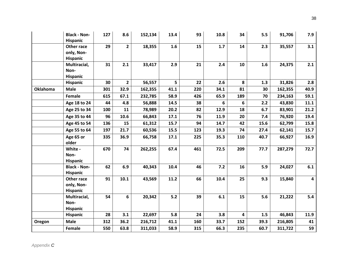|                 | <b>Black - Non-</b><br>Hispanic             | 127 | 8.6            | 152,134 | 13.4  | 93  | 10.8 | 34                      | 5.5  | 91,706  | 7.9            |
|-----------------|---------------------------------------------|-----|----------------|---------|-------|-----|------|-------------------------|------|---------|----------------|
|                 | Other race<br>only, Non-<br>Hispanic        | 29  | $\overline{2}$ | 18,355  | 1.6   | 15  | 1.7  | 14                      | 2.3  | 35,557  | 3.1            |
|                 | Multiracial,<br>Non-<br>Hispanic            | 31  | 2.1            | 33,417  | 2.9   | 21  | 2.4  | 10                      | 1.6  | 24,375  | 2.1            |
|                 | Hispanic                                    | 30  | $\overline{2}$ | 56,557  | 5     | 22  | 2.6  | 8                       | 1.3  | 31,826  | 2.8            |
| <b>Oklahoma</b> | <b>Male</b>                                 | 301 | 32.9           | 162,355 | 41.1  | 220 | 34.1 | 81                      | 30   | 162,355 | 40.9           |
|                 | Female                                      | 615 | 67.1           | 232,785 | 58.9  | 426 | 65.9 | 189                     | 70   | 234,163 | 59.1           |
|                 | Age 18 to 24                                | 44  | 4.8            | 56,888  | 14.5  | 38  | 6    | 6                       | 2.2  | 43,830  | 11.1           |
|                 | Age 25 to 34                                | 100 | 11             | 78,989  | 20.2  | 82  | 12.9 | 18                      | 6.7  | 83,901  | 21.2           |
|                 | Age 35 to 44                                | 96  | 10.6           | 66,843  | 17.1  | 76  | 11.9 | 20                      | 7.4  | 76,920  | 19.4           |
|                 | Age 45 to 54                                | 136 | 15             | 61,312  | 15.7  | 94  | 14.7 | 42                      | 15.6 | 62,799  | 15.8           |
|                 | Age 55 to 64                                | 197 | 21.7           | 60,536  | 15.5  | 123 | 19.3 | 74                      | 27.4 | 62,141  | 15.7           |
|                 | Age 65 or<br>older                          | 335 | 36.9           | 66,758  | 17.1  | 225 | 35.3 | 110                     | 40.7 | 66,927  | 16.9           |
|                 | White -<br>Non-<br>Hispanic                 | 670 | 74             | 262,255 | 67.4  | 461 | 72.5 | 209                     | 77.7 | 287,279 | $72.7$         |
|                 | <b>Black - Non-</b><br><b>Hispanic</b>      | 62  | 6.9            | 40,343  | 10.4  | 46  | 7.2  | 16                      | 5.9  | 24,027  | 6.1            |
|                 | Other race<br>only, Non-<br><b>Hispanic</b> | 91  | 10.1           | 43,569  | 11.2  | 66  | 10.4 | 25                      | 9.3  | 15,840  | $\overline{4}$ |
|                 | Multiracial,<br>Non-<br>Hispanic            | 54  | 6              | 20,342  | $5.2$ | 39  | 6.1  | 15                      | 5.6  | 21,222  | 5.4            |
|                 | Hispanic                                    | 28  | 3.1            | 22,697  | 5.8   | 24  | 3.8  | $\overline{\mathbf{4}}$ | 1.5  | 46,843  | 11.9           |
| Oregon          | <b>Male</b>                                 | 312 | 36.2           | 216,712 | 41.1  | 160 | 33.7 | 152                     | 39.3 | 216,805 | 41             |
|                 | Female                                      | 550 | 63.8           | 311,033 | 58.9  | 315 | 66.3 | 235                     | 60.7 | 311,722 | 59             |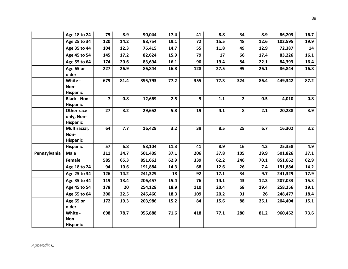|              | Age 18 to 24                                | 75                      | 8.9  | 90,044  | 17.4 | 41  | 8.8  | 34             | 8.9  | 86,203  | 16.7 |
|--------------|---------------------------------------------|-------------------------|------|---------|------|-----|------|----------------|------|---------|------|
|              | Age 25 to 34                                | 120                     | 14.2 | 98,754  | 19.1 | 72  | 15.5 | 48             | 12.6 | 102,595 | 19.9 |
|              | Age 35 to 44                                | 104                     | 12.3 | 76,415  | 14.7 | 55  | 11.8 | 49             | 12.9 | 72,387  | 14   |
|              | Age 45 to 54                                | 145                     | 17.2 | 82,624  | 15.9 | 79  | 17   | 66             | 17.4 | 83,226  | 16.1 |
|              | Age 55 to 64                                | 174                     | 20.6 | 83,694  | 16.1 | 90  | 19.4 | 84             | 22.1 | 84,393  | 16.4 |
|              | Age 65 or<br>older                          | 227                     | 26.9 | 86,844  | 16.8 | 128 | 27.5 | 99             | 26.1 | 86,844  | 16.8 |
|              | White -<br>Non-<br><b>Hispanic</b>          | 679                     | 81.4 | 395,793 | 77.2 | 355 | 77.3 | 324            | 86.4 | 449,342 | 87.2 |
|              | <b>Black - Non-</b><br><b>Hispanic</b>      | $\overline{\mathbf{z}}$ | 0.8  | 12,669  | 2.5  | 5   | 1.1  | $\overline{2}$ | 0.5  | 4,010   | 0.8  |
|              | Other race<br>only, Non-<br><b>Hispanic</b> | 27                      | 3.2  | 29,652  | 5.8  | 19  | 4.1  | 8              | 2.1  | 20,288  | 3.9  |
|              | Multiracial,<br>Non-<br>Hispanic            | 64                      | 7.7  | 16,429  | 3.2  | 39  | 8.5  | 25             | 6.7  | 16,302  | 3.2  |
|              | <b>Hispanic</b>                             | 57                      | 6.8  | 58,104  | 11.3 | 41  | 8.9  | 16             | 4.3  | 25,358  | 4.9  |
| Pennsylvania | <b>Male</b>                                 | 311                     | 34.7 | 501,409 | 37.1 | 206 | 37.8 | 105            | 29.9 | 501,826 | 37.1 |
|              | Female                                      | 585                     | 65.3 | 851,662 | 62.9 | 339 | 62.2 | 246            | 70.1 | 851,662 | 62.9 |
|              | Age 18 to 24                                | 94                      | 10.6 | 191,884 | 14.3 | 68  | 12.6 | 26             | 7.4  | 191,884 | 14.2 |
|              | Age 25 to 34                                | 126                     | 14.2 | 241,329 | 18   | 92  | 17.1 | 34             | 9.7  | 241,329 | 17.9 |
|              | Age 35 to 44                                | 119                     | 13.4 | 206,457 | 15.4 | 76  | 14.1 | 43             | 12.3 | 207,033 | 15.3 |
|              | Age 45 to 54                                | 178                     | 20   | 254,128 | 18.9 | 110 | 20.4 | 68             | 19.4 | 258,256 | 19.1 |
|              | Age 55 to 64                                | 200                     | 22.5 | 245,460 | 18.3 | 109 | 20.2 | 91             | 26   | 248,477 | 18.4 |
|              | Age 65 or<br>older                          | 172                     | 19.3 | 203,986 | 15.2 | 84  | 15.6 | 88             | 25.1 | 204,404 | 15.1 |
|              | White -<br>Non-<br><b>Hispanic</b>          | 698                     | 78.7 | 956,888 | 71.6 | 418 | 77.1 | 280            | 81.2 | 960,462 | 73.6 |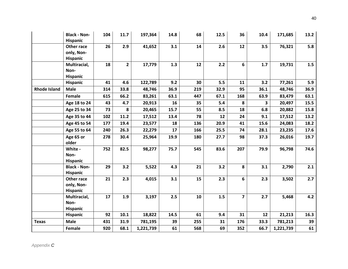|                     | <b>Black - Non-</b><br>Hispanic             | 104 | 11.7           | 197,364   | 14.8 | 68  | 12.5 | 36                      | 10.4 | 171,685   | 13.2 |
|---------------------|---------------------------------------------|-----|----------------|-----------|------|-----|------|-------------------------|------|-----------|------|
|                     | Other race<br>only, Non-<br>Hispanic        | 26  | 2.9            | 41,652    | 3.1  | 14  | 2.6  | 12                      | 3.5  | 76,321    | 5.8  |
|                     | Multiracial,<br>Non-<br>Hispanic            | 18  | $\overline{2}$ | 17,779    | 1.3  | 12  | 2.2  | 6                       | 1.7  | 19,731    | 1.5  |
|                     | Hispanic                                    | 41  | 4.6            | 122,789   | 9.2  | 30  | 5.5  | 11                      | 3.2  | 77,261    | 5.9  |
| <b>Rhode Island</b> | <b>Male</b>                                 | 314 | 33.8           | 48,746    | 36.9 | 219 | 32.9 | 95                      | 36.1 | 48,746    | 36.9 |
|                     | Female                                      | 615 | 66.2           | 83,261    | 63.1 | 447 | 67.1 | 168                     | 63.9 | 83,479    | 63.1 |
|                     | Age 18 to 24                                | 43  | 4.7            | 20,913    | 16   | 35  | 5.4  | 8                       | 3    | 20,497    | 15.5 |
|                     | Age 25 to 34                                | 73  | 8              | 20,465    | 15.7 | 55  | 8.5  | 18                      | 6.8  | 20,882    | 15.8 |
|                     | Age 35 to 44                                | 102 | 11.2           | 17,512    | 13.4 | 78  | 12   | 24                      | 9.1  | 17,512    | 13.2 |
|                     | Age 45 to 54                                | 177 | 19.4           | 23,577    | 18   | 136 | 20.9 | 41                      | 15.6 | 24,083    | 18.2 |
|                     | Age 55 to 64                                | 240 | 26.3           | 22,279    | 17   | 166 | 25.5 | 74                      | 28.1 | 23,235    | 17.6 |
|                     | Age 65 or<br>older                          | 278 | 30.4           | 25,964    | 19.9 | 180 | 27.7 | 98                      | 37.3 | 26,016    | 19.7 |
|                     | White -<br>Non-<br>Hispanic                 | 752 | 82.5           | 98,277    | 75.7 | 545 | 83.6 | 207                     | 79.9 | 96,798    | 74.6 |
|                     | <b>Black - Non-</b><br><b>Hispanic</b>      | 29  | 3.2            | 5,522     | 4.3  | 21  | 3.2  | 8                       | 3.1  | 2,790     | 2.1  |
|                     | Other race<br>only, Non-<br><b>Hispanic</b> | 21  | 2.3            | 4,015     | 3.1  | 15  | 2.3  | 6                       | 2.3  | 3,502     | 2.7  |
|                     | Multiracial,<br>Non-<br>Hispanic            | 17  | 1.9            | 3,197     | 2.5  | 10  | 1.5  | $\overline{\mathbf{z}}$ | 2.7  | 5,468     | 4.2  |
|                     | Hispanic                                    | 92  | 10.1           | 18,822    | 14.5 | 61  | 9.4  | 31                      | 12   | 21,213    | 16.3 |
| <b>Texas</b>        | <b>Male</b>                                 | 431 | 31.9           | 781,195   | 39   | 255 | 31   | 176                     | 33.3 | 781,213   | 39   |
|                     | Female                                      | 920 | 68.1           | 1,221,739 | 61   | 568 | 69   | 352                     | 66.7 | 1,221,739 | 61   |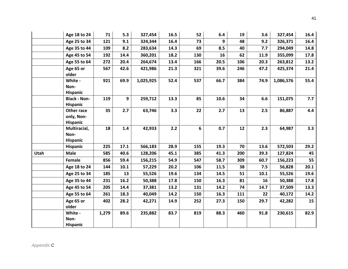|      | Age 18 to 24                                | 71    | 5.3  | 327,454   | 16.5 | 52  | 6.4  | 19  | 3.6  | 327,454   | 16.4 |
|------|---------------------------------------------|-------|------|-----------|------|-----|------|-----|------|-----------|------|
|      | Age 25 to 34                                | 121   | 9.1  | 324,344   | 16.4 | 73  | 9    | 48  | 9.2  | 326,371   | 16.4 |
|      | Age 35 to 44                                | 109   | 8.2  | 283,634   | 14.3 | 69  | 8.5  | 40  | 7.7  | 294,049   | 14.8 |
|      | Age 45 to 54                                | 192   | 14.4 | 360,201   | 18.2 | 130 | 16   | 62  | 11.9 | 355,099   | 17.8 |
|      | Age 55 to 64                                | 272   | 20.4 | 264,674   | 13.4 | 166 | 20.5 | 106 | 20.3 | 263,812   | 13.2 |
|      | Age 65 or<br>older                          | 567   | 42.6 | 421,986   | 21.3 | 321 | 39.6 | 246 | 47.2 | 425,374   | 21.4 |
|      | White -<br>Non-<br><b>Hispanic</b>          | 921   | 69.9 | 1,025,925 | 52.4 | 537 | 66.7 | 384 | 74.9 | 1,086,576 | 55.4 |
|      | <b>Black - Non-</b><br><b>Hispanic</b>      | 119   | 9    | 259,712   | 13.3 | 85  | 10.6 | 34  | 6.6  | 151,075   | 7.7  |
|      | Other race<br>only, Non-<br><b>Hispanic</b> | 35    | 2.7  | 63,746    | 3.3  | 22  | 2.7  | 13  | 2.5  | 86,887    | 4.4  |
|      | Multiracial,<br>Non-<br><b>Hispanic</b>     | 18    | 1.4  | 42,933    | 2.2  | 6   | 0.7  | 12  | 2.3  | 64,987    | 3.3  |
|      | Hispanic                                    | 225   | 17.1 | 566,183   | 28.9 | 155 | 19.3 | 70  | 13.6 | 572,503   | 29.2 |
| Utah | <b>Male</b>                                 | 585   | 40.6 | 128,206   | 45.1 | 385 | 41.3 | 200 | 39.3 | 127,824   | 45   |
|      | Female                                      | 856   | 59.4 | 156,215   | 54.9 | 547 | 58.7 | 309 | 60.7 | 156,223   | 55   |
|      | Age 18 to 24                                | 144   | 10.1 | 57,229    | 20.2 | 106 | 11.5 | 38  | 7.5  | 56,828    | 20.1 |
|      | Age 25 to 34                                | 185   | 13   | 55,526    | 19.6 | 134 | 14.5 | 51  | 10.1 | 55,526    | 19.6 |
|      | Age 35 to 44                                | 231   | 16.2 | 50,388    | 17.8 | 150 | 16.3 | 81  | 16   | 50,388    | 17.8 |
|      | Age 45 to 54                                | 205   | 14.4 | 37,381    | 13.2 | 131 | 14.2 | 74  | 14.7 | 37,509    | 13.3 |
|      | Age 55 to 64                                | 261   | 18.3 | 40,049    | 14.2 | 150 | 16.3 | 111 | 22   | 40,172    | 14.2 |
|      | Age 65 or<br>older                          | 402   | 28.2 | 42,271    | 14.9 | 252 | 27.3 | 150 | 29.7 | 42,282    | 15   |
|      | White -<br>Non-<br><b>Hispanic</b>          | 1,279 | 89.6 | 235,882   | 83.7 | 819 | 88.3 | 460 | 91.8 | 230,615   | 82.9 |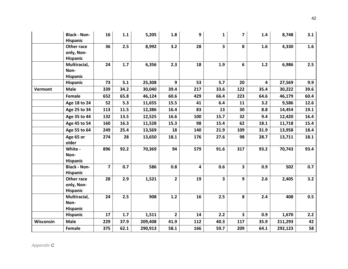|           | <b>Black - Non-</b><br>Hispanic             | 16                      | 1.1  | 5,205   | 1.8            | 9   | $\mathbf{1}$            | $\overline{7}$          | 1.4  | 8,748   | 3.1  |
|-----------|---------------------------------------------|-------------------------|------|---------|----------------|-----|-------------------------|-------------------------|------|---------|------|
|           | Other race<br>only, Non-<br>Hispanic        | 36                      | 2.5  | 8,992   | 3.2            | 28  | 3                       | 8                       | 1.6  | 4,330   | 1.6  |
|           | Multiracial,<br>Non-<br>Hispanic            | 24                      | 1.7  | 6,356   | 2.3            | 18  | 1.9                     | 6                       | 1.2  | 6,986   | 2.5  |
|           | Hispanic                                    | 73                      | 5.1  | 25,308  | 9              | 53  | 5.7                     | 20                      | 4    | 27,569  | 9.9  |
| Vermont   | <b>Male</b>                                 | 339                     | 34.2 | 30,040  | 39.4           | 217 | 33.6                    | 122                     | 35.4 | 30,222  | 39.6 |
|           | Female                                      | 652                     | 65.8 | 46,124  | 60.6           | 429 | 66.4                    | 223                     | 64.6 | 46,179  | 60.4 |
|           | Age 18 to 24                                | 52                      | 5.3  | 11,655  | 15.5           | 41  | 6.4                     | 11                      | 3.2  | 9,586   | 12.6 |
|           | Age 25 to 34                                | 113                     | 11.5 | 12,386  | 16.4           | 83  | 13                      | 30                      | 8.8  | 14,454  | 19.1 |
|           | Age 35 to 44                                | 132                     | 13.5 | 12,525  | 16.6           | 100 | 15.7                    | 32                      | 9.4  | 12,420  | 16.4 |
|           | Age 45 to 54                                | 160                     | 16.3 | 11,528  | 15.3           | 98  | 15.4                    | 62                      | 18.1 | 11,718  | 15.4 |
|           | Age 55 to 64                                | 249                     | 25.4 | 13,569  | 18             | 140 | 21.9                    | 109                     | 31.9 | 13,958  | 18.4 |
|           | Age 65 or<br>older                          | 274                     | 28   | 13,650  | 18.1           | 176 | 27.6                    | 98                      | 28.7 | 13,711  | 18.1 |
|           | White -<br>Non-<br><b>Hispanic</b>          | 896                     | 92.2 | 70,369  | 94             | 579 | 91.6                    | 317                     | 93.2 | 70,743  | 93.4 |
|           | <b>Black - Non-</b><br><b>Hispanic</b>      | $\overline{\mathbf{z}}$ | 0.7  | 586     | 0.8            | 4   | 0.6                     | $\overline{\mathbf{3}}$ | 0.9  | 502     | 0.7  |
|           | Other race<br>only, Non-<br><b>Hispanic</b> | 28                      | 2.9  | 1,521   | $\overline{2}$ | 19  | $\overline{\mathbf{3}}$ | 9                       | 2.6  | 2,405   | 3.2  |
|           | Multiracial,<br>Non-<br>Hispanic            | 24                      | 2.5  | 908     | 1.2            | 16  | 2.5                     | 8                       | 2.4  | 408     | 0.5  |
|           | <b>Hispanic</b>                             | 17                      | 1.7  | 1,511   | $2^{\circ}$    | 14  | 2.2                     | $\mathbf{3}$            | 0.9  | 1,670   | 2.2  |
| Wisconsin | <b>Male</b>                                 | 229                     | 37.9 | 209,408 | 41.9           | 112 | 40.3                    | 117                     | 35.9 | 211,293 | 42   |
|           | Female                                      | 375                     | 62.1 | 290,913 | 58.1           | 166 | 59.7                    | 209                     | 64.1 | 292,123 | 58   |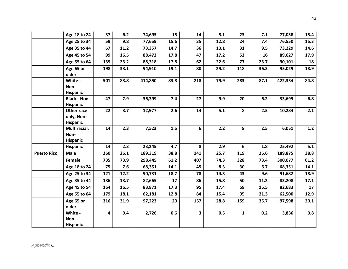|                    | Age 18 to 24                                | 37  | $6.2$ | 74,695  | 15   | 14           | 5.1  | 23              | 7.1  | 77,038  | 15.4 |
|--------------------|---------------------------------------------|-----|-------|---------|------|--------------|------|-----------------|------|---------|------|
|                    | Age 25 to 34                                | 59  | 9.8   | 77,659  | 15.6 | 35           | 12.8 | 24              | 7.4  | 76,550  | 15.3 |
|                    | Age 35 to 44                                | 67  | 11.2  | 73,357  | 14.7 | 36           | 13.1 | 31              | 9.5  | 73,229  | 14.6 |
|                    | Age 45 to 54                                | 99  | 16.5  | 88,472  | 17.8 | 47           | 17.2 | 52              | 16   | 89,627  | 17.9 |
|                    | Age 55 to 64                                | 139 | 23.2  | 88,318  | 17.8 | 62           | 22.6 | 77              | 23.7 | 90,101  | 18   |
|                    | Age 65 or<br>older                          | 198 | 33.1  | 94,910  | 19.1 | 80           | 29.2 | 118             | 36.3 | 95,029  | 18.9 |
|                    | White -<br>Non-                             | 501 | 83.8  | 414,850 | 83.8 | 218          | 79.9 | 283             | 87.1 | 422,334 | 84.8 |
|                    | <b>Hispanic</b>                             |     |       |         |      |              |      |                 |      |         |      |
|                    | <b>Black - Non-</b><br><b>Hispanic</b>      | 47  | 7.9   | 36,399  | 7.4  | 27           | 9.9  | 20              | 6.2  | 33,695  | 6.8  |
|                    | Other race<br>only, Non-<br><b>Hispanic</b> | 22  | 3.7   | 12,977  | 2.6  | 14           | 5.1  | 8               | 2.5  | 10,284  | 2.1  |
|                    | Multiracial,<br>Non-<br><b>Hispanic</b>     | 14  | 2.3   | 7,523   | 1.5  | 6            | 2.2  | 8               | 2.5  | 6,051   | 1.2  |
|                    | Hispanic                                    | 14  | 2.3   | 23,245  | 4.7  | 8            | 2.9  | $6\overline{6}$ | 1.8  | 25,492  | 5.1  |
| <b>Puerto Rico</b> | <b>Male</b>                                 | 260 | 26.1  | 189,319 | 38.8 | 141          | 25.7 | 119             | 26.6 | 189,875 | 38.8 |
|                    | Female                                      | 735 | 73.9  | 298,445 | 61.2 | 407          | 74.3 | 328             | 73.4 | 300,077 | 61.2 |
|                    | Age 18 to 24                                | 75  | 7.6   | 68,351  | 14.1 | 45           | 8.3  | 30              | 6.7  | 68,351  | 14.1 |
|                    | Age 25 to 34                                | 121 | 12.2  | 90,731  | 18.7 | 78           | 14.3 | 43              | 9.6  | 91,682  | 18.9 |
|                    | Age 35 to 44                                | 136 | 13.7  | 82,665  | 17   | 86           | 15.8 | 50              | 11.2 | 83,208  | 17.1 |
|                    | Age 45 to 54                                | 164 | 16.5  | 83,871  | 17.3 | 95           | 17.4 | 69              | 15.5 | 82,683  | 17   |
|                    | Age 55 to 64                                | 179 | 18.1  | 62,181  | 12.8 | 84           | 15.4 | 95              | 21.3 | 62,500  | 12.9 |
|                    | Age 65 or<br>older                          | 316 | 31.9  | 97,223  | 20   | 157          | 28.8 | 159             | 35.7 | 97,598  | 20.1 |
|                    | White -<br>Non-<br><b>Hispanic</b>          | 4   | 0.4   | 2,726   | 0.6  | $\mathbf{3}$ | 0.5  | 1               | 0.2  | 3,836   | 0.8  |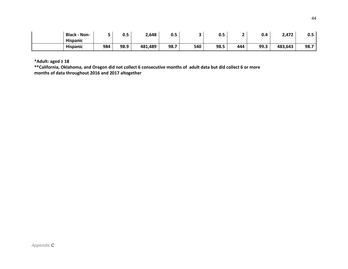| <b>Black - Non-</b> |     | 0.5  | 2,648   | <u>^ -</u><br>u.s |     | 0.5  |     | 0.4  | 2,472   | $0.5\,$ |
|---------------------|-----|------|---------|-------------------|-----|------|-----|------|---------|---------|
| <b>Hispanic</b>     |     |      |         |                   |     |      |     |      |         |         |
| <b>Hispanic</b>     | 984 | 98.9 | 481,489 | 98.7              | 540 | 98.5 | 444 | 99.3 | 483,643 | 98.7    |

**\*Adult: aged ≥ 18**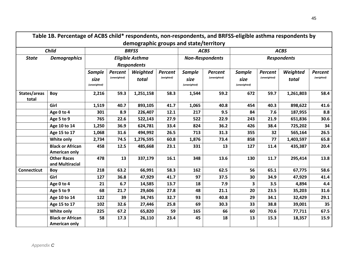|                       | Table 1B. Percentage of ACBS child* respondents, non-respondents, and BRFSS-eligible asthma respondents by |              |              |                                        |            |               |                        |               |              |                    |            |
|-----------------------|------------------------------------------------------------------------------------------------------------|--------------|--------------|----------------------------------------|------------|---------------|------------------------|---------------|--------------|--------------------|------------|
|                       |                                                                                                            |              |              | demographic groups and state/territory |            |               |                        |               |              |                    |            |
|                       | <b>Child</b>                                                                                               |              |              | <b>BRFSS</b>                           |            |               | <b>ACBS</b>            |               |              | <b>ACBS</b>        |            |
| <b>State</b>          | <b>Demographics</b>                                                                                        |              |              | <b>Eligible Asthma</b>                 |            |               | <b>Non-Respondents</b> |               |              | <b>Respondents</b> |            |
|                       |                                                                                                            |              |              | <b>Respondents</b>                     |            |               |                        |               |              |                    |            |
|                       |                                                                                                            | Sample       | Percent      | Weighted                               | Percent    | <b>Sample</b> | Percent                | <b>Sample</b> | Percent      | Weighted           | Percent    |
|                       |                                                                                                            | size         | (unweighted) | total                                  | (weighted) | size          | (unweighted)           | size          | (unweighted) | total              | (weighted) |
|                       |                                                                                                            | (unweighted) |              |                                        |            | (unweighted)  |                        | (unweighted)  |              |                    |            |
| States/areas<br>total | Boy                                                                                                        | 2,216        | 59.3         | 1,251,158                              | 58.3       | 1,544         | 59.2                   | 672           | 59.7         | 1,261,803          | 58.4       |
|                       | Girl                                                                                                       | 1,519        | 40.7         | 893,105                                | 41.7       | 1,065         | 40.8                   | 454           | 40.3         | 898,622            | 41.6       |
|                       | Age 0 to 4                                                                                                 | 301          | 8.9          | 226,407                                | 12.1       | 217           | 9.5                    | 84            | 7.6          | 187,955            | 8.8        |
|                       | Age 5 to 9                                                                                                 | 765          | 22.6         | 522,143                                | 27.9       | 522           | 22.9                   | 243           | 21.9         | 651,836            | 30.6       |
|                       | Age 10 to 14                                                                                               | 1,250        | 36.9         | 624,781                                | 33.4       | 824           | 36.2                   | 426           | 38.4         | 725,202            | 34         |
|                       | Age 15 to 17                                                                                               | 1,068        | 31.6         | 494,992                                | 26.5       | 713           | 31.3                   | 355           | 32           | 565,164            | 26.5       |
|                       | White only                                                                                                 | 2,734        | 74.5         | 1,276,595                              | 60.8       | 1,876         | 73.4                   | 858           | 77           | 1,403,597          | 65.8       |
|                       | <b>Black or African</b><br>American only                                                                   | 458          | 12.5         | 485,668                                | 23.1       | 331           | 13                     | 127           | 11.4         | 435,387            | 20.4       |
|                       | <b>Other Races</b><br>and Multiracial                                                                      | 478          | 13           | 337,179                                | 16.1       | 348           | 13.6                   | 130           | 11.7         | 295,414            | 13.8       |
| <b>Connecticut</b>    | Boy                                                                                                        | 218          | 63.2         | 66,991                                 | 58.3       | 162           | 62.5                   | 56            | 65.1         | 67,775             | 58.6       |
|                       | Girl                                                                                                       | 127          | 36.8         | 47,929                                 | 41.7       | 97            | 37.5                   | 30            | 34.9         | 47,929             | 41.4       |
|                       | Age 0 to 4                                                                                                 | 21           | 6.7          | 14,585                                 | 13.7       | 18            | 7.9                    | 3             | 3.5          | 4,894              | 4.4        |
|                       | Age 5 to 9                                                                                                 | 68           | 21.7         | 29,606                                 | 27.8       | 48            | 21.1                   | 20            | 23.5         | 35,203             | 31.6       |
|                       | Age 10 to 14                                                                                               | 122          | 39           | 34,745                                 | 32.7       | 93            | 40.8                   | 29            | 34.1         | 32,429             | 29.1       |
|                       | Age 15 to 17                                                                                               | 102          | 32.6         | 27,446                                 | 25.8       | 69            | 30.3                   | 33            | 38.8         | 39,001             | 35         |
|                       | White only                                                                                                 | 225          | 67.2         | 65,820                                 | 59         | 165           | 66                     | 60            | 70.6         | 77,711             | 67.5       |
|                       | <b>Black or African</b><br>American only                                                                   | 58           | 17.3         | 26,110                                 | 23.4       | 45            | 18                     | 13            | 15.3         | 18,357             | 15.9       |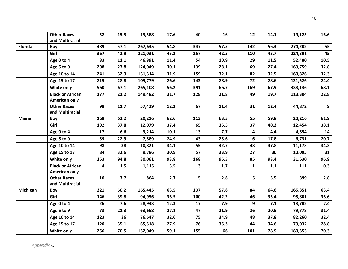|                | <b>Other Races</b><br>and Multiracial           | 52  | 15.5 | 19,588  | 17.6 | 40  | 16   | 12           | 14.1    | 19,125  | 16.6           |
|----------------|-------------------------------------------------|-----|------|---------|------|-----|------|--------------|---------|---------|----------------|
| <b>Florida</b> | Boy                                             | 489 | 57.1 | 267,635 | 54.8 | 347 | 57.5 | 142          | 56.3    | 274,202 | 55             |
|                | Girl                                            | 367 | 42.9 | 221,031 | 45.2 | 257 | 42.5 | 110          | 43.7    | 224,391 | 45             |
|                | Age 0 to 4                                      | 83  | 11.1 | 46,891  | 11.4 | 54  | 10.9 | 29           | 11.5    | 52,480  | 10.5           |
|                | Age 5 to 9                                      | 208 | 27.8 | 124,049 | 30.1 | 139 | 28.1 | 69           | 27.4    | 163,759 | 32.8           |
|                | Age 10 to 14                                    | 241 | 32.3 | 131,314 | 31.9 | 159 | 32.1 | 82           | 32.5    | 160,826 | 32.3           |
|                | Age 15 to 17                                    | 215 | 28.8 | 109,779 | 26.6 | 143 | 28.9 | 72           | 28.6    | 121,526 | 24.4           |
|                | White only                                      | 560 | 67.1 | 265,108 | 56.2 | 391 | 66.7 | 169          | 67.9    | 338,136 | 68.1           |
|                | <b>Black or African</b><br><b>American only</b> | 177 | 21.2 | 149,482 | 31.7 | 128 | 21.8 | 49           | 19.7    | 113,304 | 22.8           |
|                | <b>Other Races</b><br>and Multiracial           | 98  | 11.7 | 57,429  | 12.2 | 67  | 11.4 | 31           | 12.4    | 44,872  | $\overline{9}$ |
| <b>Maine</b>   | Boy                                             | 168 | 62.2 | 20,216  | 62.6 | 113 | 63.5 | 55           | 59.8    | 20,216  | 61.9           |
|                | Girl                                            | 102 | 37.8 | 12,079  | 37.4 | 65  | 36.5 | 37           | 40.2    | 12,454  | 38.1           |
|                | Age 0 to 4                                      | 17  | 6.6  | 3,214   | 10.1 | 13  | 7.7  | 4            | 4.4     | 4,554   | 14             |
|                | Age 5 to 9                                      | 59  | 22.9 | 7,889   | 24.9 | 43  | 25.6 | 16           | 17.8    | 6,731   | 20.7           |
|                | Age 10 to 14                                    | 98  | 38   | 10,821  | 34.1 | 55  | 32.7 | 43           | 47.8    | 11,173  | 34.3           |
|                | Age 15 to 17                                    | 84  | 32.6 | 9,786   | 30.9 | 57  | 33.9 | 27           | 30      | 10,095  | 31             |
|                | White only                                      | 253 | 94.8 | 30,061  | 93.8 | 168 | 95.5 | 85           | 93.4    | 31,630  | 96.9           |
|                | <b>Black or African</b><br>American only        | 4   | 1.5  | 1,115   | 3.5  | 3   | 1.7  | $\mathbf{1}$ | $1.1\,$ | 111     | 0.3            |
|                | <b>Other Races</b><br>and Multiracial           | 10  | 3.7  | 864     | 2.7  | 5   | 2.8  | 5            | 5.5     | 899     | 2.8            |
| Michigan       | Boy                                             | 221 | 60.2 | 165,445 | 63.5 | 137 | 57.8 | 84           | 64.6    | 165,851 | 63.4           |
|                | Girl                                            | 146 | 39.8 | 94,956  | 36.5 | 100 | 42.2 | 46           | 35.4    | 95,881  | 36.6           |
|                | Age 0 to 4                                      | 26  | 7.6  | 28,933  | 12.3 | 17  | 7.9  | 9            | 7.1     | 18,702  | 7.4            |
|                | Age 5 to 9                                      | 73  | 21.3 | 63,668  | 27.1 | 47  | 21.9 | 26           | 20.5    | 79,778  | 31.4           |
|                | Age 10 to 14                                    | 123 | 36   | 76,647  | 32.6 | 75  | 34.9 | 48           | 37.8    | 82,260  | 32.4           |
|                | Age 15 to 17                                    | 120 | 35.1 | 65,518  | 27.9 | 76  | 35.3 | 44           | 34.6    | 73,032  | 28.8           |
|                | White only                                      | 256 | 70.5 | 152,049 | 59.1 | 155 | 66   | 101          | 78.9    | 180,353 | 70.3           |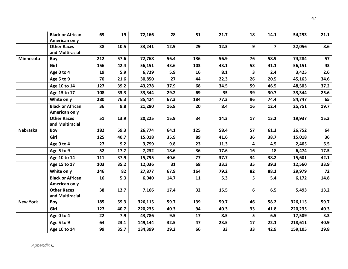|                 | <b>Black or African</b><br>American only | 69  | 19   | 72,166  | 28   | 51  | 21.7 | 18                      | 14.1           | 54,253  | 21.1 |
|-----------------|------------------------------------------|-----|------|---------|------|-----|------|-------------------------|----------------|---------|------|
|                 | <b>Other Races</b><br>and Multiracial    | 38  | 10.5 | 33,241  | 12.9 | 29  | 12.3 | 9                       | $\overline{7}$ | 22,056  | 8.6  |
| Minnesota       | Boy                                      | 212 | 57.6 | 72,768  | 56.4 | 136 | 56.9 | 76                      | 58.9           | 74,284  | 57   |
|                 | Girl                                     | 156 | 42.4 | 56,151  | 43.6 | 103 | 43.1 | 53                      | 41.1           | 56,151  | 43   |
|                 | Age 0 to 4                               | 19  | 5.9  | 6,729   | 5.9  | 16  | 8.1  | $\overline{\mathbf{3}}$ | 2.4            | 3,425   | 2.6  |
|                 | Age 5 to 9                               | 70  | 21.6 | 30,850  | 27   | 44  | 22.3 | 26                      | 20.5           | 45,163  | 34.6 |
|                 | Age 10 to 14                             | 127 | 39.2 | 43,278  | 37.9 | 68  | 34.5 | 59                      | 46.5           | 48,503  | 37.2 |
|                 | Age 15 to 17                             | 108 | 33.3 | 33,344  | 29.2 | 69  | 35   | 39                      | 30.7           | 33,344  | 25.6 |
|                 | White only                               | 280 | 76.3 | 85,424  | 67.3 | 184 | 77.3 | 96                      | 74.4           | 84,747  | 65   |
|                 | <b>Black or African</b><br>American only | 36  | 9.8  | 21,280  | 16.8 | 20  | 8.4  | 16                      | 12.4           | 25,751  | 19.7 |
|                 | <b>Other Races</b><br>and Multiracial    | 51  | 13.9 | 20,225  | 15.9 | 34  | 14.3 | 17                      | 13.2           | 19,937  | 15.3 |
| Nebraska        | Boy                                      | 182 | 59.3 | 26,774  | 64.1 | 125 | 58.4 | 57                      | 61.3           | 26,752  | 64   |
|                 | Girl                                     | 125 | 40.7 | 15,018  | 35.9 | 89  | 41.6 | 36                      | 38.7           | 15,018  | 36   |
|                 | Age 0 to 4                               | 27  | 9.2  | 3,799   | 9.8  | 23  | 11.3 | $\overline{\mathbf{4}}$ | 4.5            | 2,405   | 6.5  |
|                 | Age 5 to 9                               | 52  | 17.7 | 7,232   | 18.6 | 36  | 17.6 | 16                      | 18             | 6,474   | 17.5 |
|                 | Age 10 to 14                             | 111 | 37.9 | 15,795  | 40.6 | 77  | 37.7 | 34                      | 38.2           | 15,601  | 42.1 |
|                 | Age 15 to 17                             | 103 | 35.2 | 12,036  | 31   | 68  | 33.3 | 35                      | 39.3           | 12,560  | 33.9 |
|                 | <b>White only</b>                        | 246 | 82   | 27,877  | 67.9 | 164 | 79.2 | 82                      | 88.2           | 29,979  | 72   |
|                 | <b>Black or African</b><br>American only | 16  | 5.3  | 6,040   | 14.7 | 11  | 5.3  | 5                       | 5.4            | 6,172   | 14.8 |
|                 | <b>Other Races</b><br>and Multiracial    | 38  | 12.7 | 7,166   | 17.4 | 32  | 15.5 | 6                       | 6.5            | 5,493   | 13.2 |
| <b>New York</b> | Boy                                      | 185 | 59.3 | 326,115 | 59.7 | 139 | 59.7 | 46                      | 58.2           | 326,115 | 59.7 |
|                 | Girl                                     | 127 | 40.7 | 220,235 | 40.3 | 94  | 40.3 | 33                      | 41.8           | 220,235 | 40.3 |
|                 | Age 0 to 4                               | 22  | 7.9  | 43,786  | 9.5  | 17  | 8.5  | 5                       | 6.5            | 17,509  | 3.3  |
|                 | Age 5 to 9                               | 64  | 23.1 | 149,144 | 32.5 | 47  | 23.5 | 17                      | 22.1           | 218,611 | 40.9 |
|                 | Age 10 to 14                             | 99  | 35.7 | 134,399 | 29.2 | 66  | 33   | 33                      | 42.9           | 159,105 | 29.8 |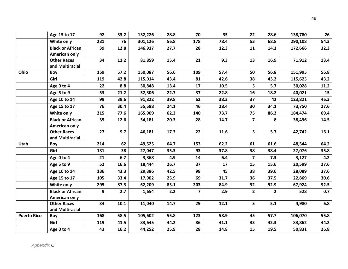|                    | Age 15 to 17                             | 92  | 33.2 | 132,226 | 28.8 | 70                      | 35   | 22                      | 28.6         | 138,780 | 26     |
|--------------------|------------------------------------------|-----|------|---------|------|-------------------------|------|-------------------------|--------------|---------|--------|
|                    | White only                               | 231 | 76   | 301,126 | 56.8 | 178                     | 78.4 | 53                      | 68.8         | 290,108 | 54.3   |
|                    | <b>Black or African</b><br>American only | 39  | 12.8 | 146,917 | 27.7 | 28                      | 12.3 | 11                      | 14.3         | 172,666 | 32.3   |
|                    | <b>Other Races</b><br>and Multiracial    | 34  | 11.2 | 81,859  | 15.4 | 21                      | 9.3  | 13                      | 16.9         | 71,912  | 13.4   |
| Ohio               | Boy                                      | 159 | 57.2 | 150,087 | 56.6 | 109                     | 57.4 | 50                      | 56.8         | 151,995 | 56.8   |
|                    | Girl                                     | 119 | 42.8 | 115,014 | 43.4 | 81                      | 42.6 | 38                      | 43.2         | 115,625 | 43.2   |
|                    | Age 0 to 4                               | 22  | 8.8  | 30,848  | 13.4 | 17                      | 10.5 | 5                       | 5.7          | 30,028  | $11.2$ |
|                    | Age 5 to 9                               | 53  | 21.2 | 52,306  | 22.7 | 37                      | 22.8 | 16                      | 18.2         | 40,021  | 15     |
|                    | Age 10 to 14                             | 99  | 39.6 | 91,822  | 39.8 | 62                      | 38.3 | 37                      | 42           | 123,821 | 46.3   |
|                    | Age 15 to 17                             | 76  | 30.4 | 55,588  | 24.1 | 46                      | 28.4 | 30                      | 34.1         | 73,750  | 27.6   |
|                    | White only                               | 215 | 77.6 | 165,909 | 62.3 | 140                     | 73.7 | 75                      | 86.2         | 184,474 | 69.4   |
|                    | <b>Black or African</b><br>American only | 35  | 12.6 | 54,181  | 20.3 | 28                      | 14.7 | $\overline{\mathbf{z}}$ | 8            | 38,496  | 14.5   |
|                    | <b>Other Races</b><br>and Multiracial    | 27  | 9.7  | 46,181  | 17.3 | 22                      | 11.6 | 5                       | 5.7          | 42,742  | 16.1   |
| Utah               | Boy                                      | 214 | 62   | 49,525  | 64.7 | 153                     | 62.2 | 61                      | 61.6         | 48,544  | 64.2   |
|                    | Girl                                     | 131 | 38   | 27,047  | 35.3 | 93                      | 37.8 | 38                      | 38.4         | 27,076  | 35.8   |
|                    | Age 0 to 4                               | 21  | 6.7  | 3,368   | 4.9  | 14                      | 6.4  | $\overline{7}$          | 7.3          | 3,127   | 4.2    |
|                    | Age 5 to 9                               | 52  | 16.6 | 18,444  | 26.7 | 37                      | 17   | 15                      | 15.6         | 20,599  | 27.6   |
|                    | Age 10 to 14                             | 136 | 43.3 | 29,386  | 42.5 | 98                      | 45   | 38                      | 39.6         | 28,089  | 37.6   |
|                    | Age 15 to 17                             | 105 | 33.4 | 17,902  | 25.9 | 69                      | 31.7 | 36                      | 37.5         | 22,869  | 30.6   |
|                    | White only                               | 295 | 87.3 | 62,209  | 83.1 | 203                     | 84.9 | 92                      | 92.9         | 67,924  | 92.5   |
|                    | <b>Black or African</b><br>American only | 9   | 2.7  | 1,654   | 2.2  | $\overline{\mathbf{z}}$ | 2.9  | $\mathbf{2}$            | $\mathbf{2}$ | 528     | 0.7    |
|                    | <b>Other Races</b><br>and Multiracial    | 34  | 10.1 | 11,040  | 14.7 | 29                      | 12.1 | 5                       | 5.1          | 4,980   | 6.8    |
| <b>Puerto Rico</b> | Boy                                      | 168 | 58.5 | 105,602 | 55.8 | 123                     | 58.9 | 45                      | 57.7         | 106,070 | 55.8   |
|                    | Girl                                     | 119 | 41.5 | 83,645  | 44.2 | 86                      | 41.1 | 33                      | 42.3         | 83,862  | 44.2   |
|                    | Age 0 to 4                               | 43  | 16.2 | 44,252  | 25.9 | 28                      | 14.8 | 15                      | 19.5         | 50,831  | 26.8   |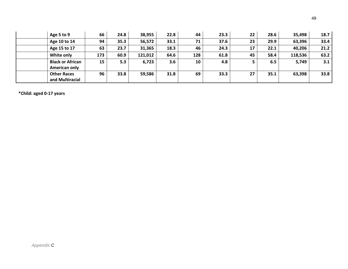| Age 5 to 9                               | 66  | 24.8 | 38,955  | 22.8 | 44  | 23.3 | 22 | 28.6 | 35,498  | 18.7 |
|------------------------------------------|-----|------|---------|------|-----|------|----|------|---------|------|
| Age 10 to 14                             | 94  | 35.3 | 56,572  | 33.1 | 71  | 37.6 | 23 | 29.9 | 63,396  | 33.4 |
| Age 15 to 17                             | 63  | 23.7 | 31,365  | 18.3 | 46  | 24.3 | 17 | 22.1 | 40,206  | 21.2 |
| White only                               | 173 | 60.9 | 121,012 | 64.6 | 128 | 61.8 | 45 | 58.4 | 118,536 | 63.2 |
| <b>Black or African</b><br>American only | 15  | 5.3  | 6,723   | 3.6  | 10  | 4.8  |    | 6.5  | 5,749   | 3.1  |
| <b>Other Races</b><br>and Multiracial    | 96  | 33.8 | 59,586  | 31.8 | 69  | 33.3 | 27 | 35.1 | 63,398  | 33.8 |

**\*Child: aged 0-17 years**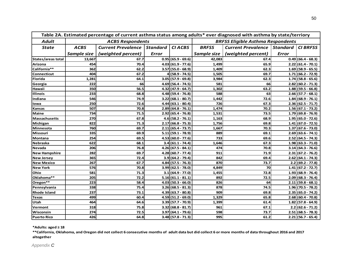|                           | Table 2A. Estimated percentage of current asthma status among adults* ever diagnosed with asthma by state/terriory<br><b>BRFSS Eligible Asthma Respondents</b> |                           |                 |                      |              |                           |              |                      |  |  |  |  |
|---------------------------|----------------------------------------------------------------------------------------------------------------------------------------------------------------|---------------------------|-----------------|----------------------|--------------|---------------------------|--------------|----------------------|--|--|--|--|
| <b>Adult</b>              |                                                                                                                                                                | <b>ACBS Respondents</b>   |                 |                      |              |                           |              |                      |  |  |  |  |
| <b>State</b>              | <b>ACBS</b>                                                                                                                                                    | <b>Current Prevalence</b> | <b>Standard</b> | <b>CIACBS</b>        | <b>BRFSS</b> | <b>Current Prevalence</b> | Standard     | <b>CI BRFSS</b>      |  |  |  |  |
|                           | Sample size                                                                                                                                                    | (weighted percent)        | <b>Error</b>    |                      | Sample size  | (weighted percent)        | <b>Error</b> |                      |  |  |  |  |
| <b>States/areas total</b> | 13,667                                                                                                                                                         | 67.7                      |                 | $0.95(65.9 - 69.6)$  | 42,083       | 67.4                      |              | $0.49(66.4 - 68.3)$  |  |  |  |  |
| Arizona                   | 454                                                                                                                                                            | 70.4                      |                 | $4.03(61.9 - 77.6)$  | 1,499        | 65.9                      |              | $2.22 (61.4 - 70.1)$ |  |  |  |  |
| California**              | 362                                                                                                                                                            | 62.2                      |                 | $3.57(55.0 - 68.9)$  | 1,409        | 62.3                      |              | $1.69(58.9 - 65.5)$  |  |  |  |  |
| Connecticut               | 404                                                                                                                                                            | 67.2                      |                 | $4(58.9 - 74.5)$     | 1,505        | 69.7                      |              | $1.71(66.2 - 72.9)$  |  |  |  |  |
| <b>Florida</b>            | 1,281                                                                                                                                                          | 64.1                      |                 | $3.05$ (57.9 - 69.8) | 3,984        | 62.3                      |              | $1.74(58.8 - 65.6)$  |  |  |  |  |
| Georgia                   | 222                                                                                                                                                            | 66                        |                 | $4.69(56.4 - 74.5)$  | 581          | 66                        |              | $2.82(60.2 - 71.3)$  |  |  |  |  |
| Hawaii                    | 350                                                                                                                                                            | 56.5                      |                 | $4.32(47.9 - 64.7)$  | 1,302        | 63.2                      |              | $1.88(59.5 - 66.8)$  |  |  |  |  |
| <b>Illinois</b>           | 233                                                                                                                                                            | 68.8                      |                 | $4.48(59.4 - 76.8)$  | 588          | 63                        |              | $2.66$ (57.7 - 68.1) |  |  |  |  |
| Indiana                   | 546                                                                                                                                                            | 74.9                      |                 | $3.22 (68.1 - 80.7)$ | 1,442        | 72.6                      |              | $1.84(68.9 - 76.1)$  |  |  |  |  |
| lowa                      | 250                                                                                                                                                            | 72.6                      |                 | $4.44(63.1 - 80.4)$  | 726          | 67.3                      |              | $2.36 (62.5 - 71.7)$ |  |  |  |  |
| <b>Kansas</b>             | 507                                                                                                                                                            | 70.8                      |                 | $2.89(64.8 - 76.1)$  | 1,474        | 70.2                      |              | $1.56(67.1 - 73.2)$  |  |  |  |  |
| <b>Maine</b>              | 734                                                                                                                                                            | 71.5                      |                 | $2.92 (65.4 - 76.8)$ | 1,531        | 73.5                      |              | $1.79(69.8 - 76.9)$  |  |  |  |  |
| <b>Massachusetts</b>      | 270                                                                                                                                                            | 67.8                      |                 | $4.6(58.2 - 76.1)$   | 1,163        | 68.9                      |              | $1.95(65.0 - 72.6)$  |  |  |  |  |
| Michigan                  | 822                                                                                                                                                            | 71.3                      |                 | $2.17(66.8 - 75.3)$  | 1,756        | 69.8                      |              | $1.41(67.0 - 72.5)$  |  |  |  |  |
| Minnesota                 | 760                                                                                                                                                            | 69.7                      | 2.11            | $(65.4 - 73.7)$      | 1,667        | 70.3                      |              | $1.37(67.6 - 73.0)$  |  |  |  |  |
| Missouri                  | 335                                                                                                                                                            | 69.9                      | 5.11            | $(59.1 - 78.9)$      | 889          | 69.1                      |              | $2.69(63.6 - 74.1)$  |  |  |  |  |
| Montana                   | 254                                                                                                                                                            | 69.5                      |                 | $4.53(60.0 - 77.6)$  | 733          | 69.6                      |              | $2.52 (64.5 - 74.3)$ |  |  |  |  |
| <b>Nebraska</b>           | 622                                                                                                                                                            | 68.1                      |                 | $3.4(61.1 - 74.4)$   | 1,646        | 67.3                      |              | $1.98(63.3 - 71.0)$  |  |  |  |  |
| Nevada                    | 206                                                                                                                                                            | 76.8                      | 4.26I           | $(67.5 - 84.1)$      | 474          | 70.8                      |              | $3.14(64.3 - 76.6)$  |  |  |  |  |
| <b>New Hampshire</b>      | 282                                                                                                                                                            | 69.7                      |                 | $4.28(60.7 - 77.4)$  | 911          | 71.9                      |              | $2.31(67.2 - 76.2)$  |  |  |  |  |
| <b>New Jersey</b>         | 365                                                                                                                                                            | 72.4                      |                 | $3.9(64.2 - 79.4)$   | 842          | 69.4                      |              | $2.62(64.1 - 74.3)$  |  |  |  |  |
| <b>New Mexico</b>         | 267                                                                                                                                                            | 67.7                      |                 | $4.84(57.5 - 76.3)$  | 870          | 73.7                      |              | $2.2(69.2 - 77.8)$   |  |  |  |  |
| <b>New York</b>           | 576                                                                                                                                                            | 70.8                      |                 | $3.99(62.5 - 78.0)$  | 4,849        | 70                        |              | $1.41(67.2 - 72.7)$  |  |  |  |  |
| Ohio                      | 581                                                                                                                                                            | 71.3                      |                 | $3.1(64.9 - 77.0)$   | 1,455        | 72.8                      |              | $1.93(68.9 - 76.4)$  |  |  |  |  |
| Oklahoma**                | 205                                                                                                                                                            | 72.2                      |                 | $5.16(61.1 - 81.1)$  | 892          | 72.5                      |              | $2.09(68.3 - 76.4)$  |  |  |  |  |
| Oregon**                  | 223                                                                                                                                                            | 58.4                      |                 | $4.03(50.3 - 66.0)$  | 826          | 64                        |              | $2.11(59.8 - 68.1)$  |  |  |  |  |
| Pennsylvania              | 338                                                                                                                                                            | 75.4                      |                 | $3.26$ (68.5 - 81.3) | 878          | 74.5                      |              | $1.96(70.5 - 78.2)$  |  |  |  |  |
| <b>Rhode Island</b>       | 237                                                                                                                                                            | 73.1                      |                 | $4.39(63.7 - 80.8)$  | 909          | 69.8                      |              | $2.35 (65.0 - 74.2)$ |  |  |  |  |
| Texas                     | 499                                                                                                                                                            | 60.4                      |                 | $4.59(51.2 - 69.0)$  | 1,329        | 65.8                      |              | $2.68(60.4 - 70.8)$  |  |  |  |  |
| Utah                      | 464                                                                                                                                                            | 64.6                      |                 | $3.39(57.7 - 70.9)$  | 1,399        | 61.4                      |              | $1.82(57.8 - 64.9)$  |  |  |  |  |
| Vermont                   | 318                                                                                                                                                            | 75.8                      |                 | $3.32 (68.8 - 81.7)$ | 961          | 67.1                      |              | $2.2$ (62.6 - 71.2)  |  |  |  |  |
| Wisconsin                 | 274                                                                                                                                                            | 72.5                      |                 | $3.97(64.1 - 79.6)$  | 598          | 73.7                      |              | $2.51(68.5 - 78.3)$  |  |  |  |  |
| <b>Puerto Rico</b>        | 426                                                                                                                                                            | 64.8                      |                 | $3.48(57.8 - 71.3)$  | 995          | 61.2                      |              | $2.21(56.7 - 65.4)$  |  |  |  |  |

### **\*Adults: aged ≥ 18**